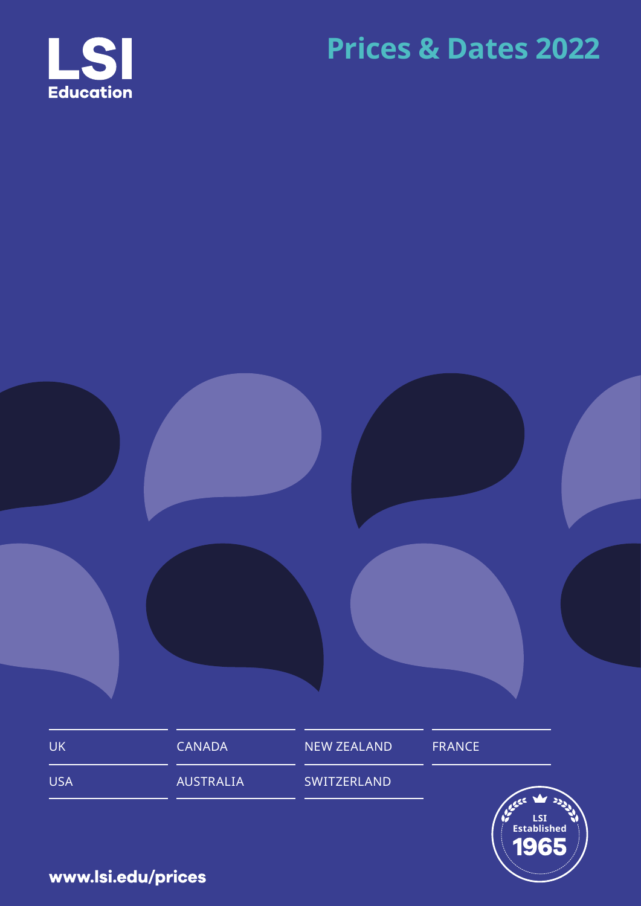

# **Prices & Dates 2022**

| UK | CANADA | <b>NEW ZEALAND</b> | <b>FRANCE</b> |
|----|--------|--------------------|---------------|

www.lsi.edu/prices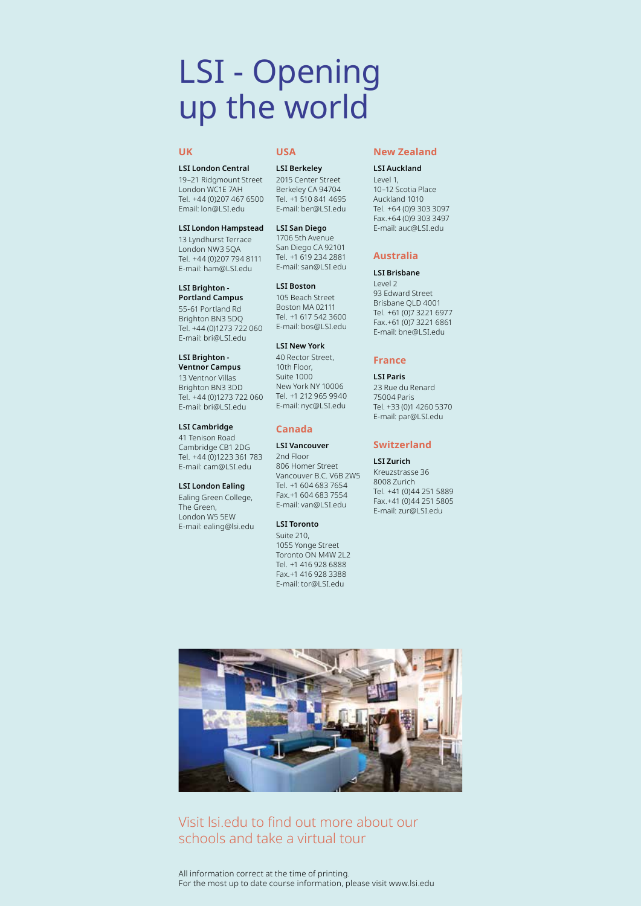# LSI - Opening up the world

### **UK**

### **LSI London Central**

19–21 Ridgmount Street London WC1E 7AH Tel. +44 (0)207 467 6500 Email: lon@LSI.edu

#### **LSI London Hampstead**

13 Lyndhurst Terrace London NW3 5QA Tel. +44 (0)207 794 8111 E-mail: ham@LSI.edu

### **LSI Brighton -**

**Portland Campus** 55-61 Portland Rd Brighton BN3 5DQ Tel. +44 (0)1273 722 060 E-mail: bri@LSI.edu

### **LSI Brighton -**

**Ventnor Campus** 13 Ventnor Villas Brighton BN3 3DD Tel. +44 (0)1273 722 060 E-mail: bri@LSI.edu

#### **LSI Cambridge**

41 Tenison Road Cambridge CB1 2DG Tel. +44 (0)1223 361 783 E-mail: cam@LSI.edu

#### **LSI London Ealing**

Ealing Green College, The Green, London W5 5EW E-mail: ealing@lsi.edu

### **USA**

#### **LSI Berkeley** 2015 Center Street

Berkeley CA 94704 Tel. +1 510 841 4695 E-mail: ber@LSI.edu

### **LSI San Diego**

1706 5th Avenue San Diego CA 92101 Tel. +1 619 234 2881 E-mail: san@LSI.edu

#### **LSI Boston** 105 Beach Street Boston MA 02111 Tel. +1 617 542 3600 E-mail: bos@LSI.edu

#### **LSI New York**

40 Rector Street, 10th Floor, Suite 1000 New York NY 10006 Tel. +1 212 965 9940 E-mail: nyc@LSI.edu

### **Canada**

#### **LSI Vancouver**

2nd Floor 806 Homer Street Vancouver B.C. V6B 2W5 Tel. +1 604 683 7654 Fax.+1 604 683 7554 E-mail: van@LSI.edu

#### **LSI Toronto**

Suite 210, 1055 Yonge Street Toronto ON M4W 2L2 Tel. +1 416 928 6888 Fax.+1 416 928 3388 E-mail: tor@LSI.edu

#### **New Zealand**

#### **LSI Auckland** Level 1,

10–12 Scotia Place Auckland 1010 Tel. +64 (0)9 303 3097 Fax.+64 (0)9 303 3497 E-mail: auc@LSI.edu

### **Australia**

### **LSI Brisbane**

Level 2 93 Edward Street Brisbane QLD 4001 Tel. +61 (0)7 3221 6977 Fax.+61 (0)7 3221 6861 E-mail: bne@LSI.edu

### **France**

**LSI Paris** 23 Rue du Renard 75004 Paris Tel. +33 (0)1 4260 5370 E-mail: par@LSI.edu

### **Switzerland**

### **LSI Zurich**

Kreuzstrasse 36 8008 Zurich Tel. +41 (0)44 251 5889 Fax.+41 (0)44 251 5805 E-mail: zur@LSI.edu



## Visit lsi.edu to find out more about our schools and take a virtual tour

All information correct at the time of printing. For the most up to date course information, please visit www.lsi.edu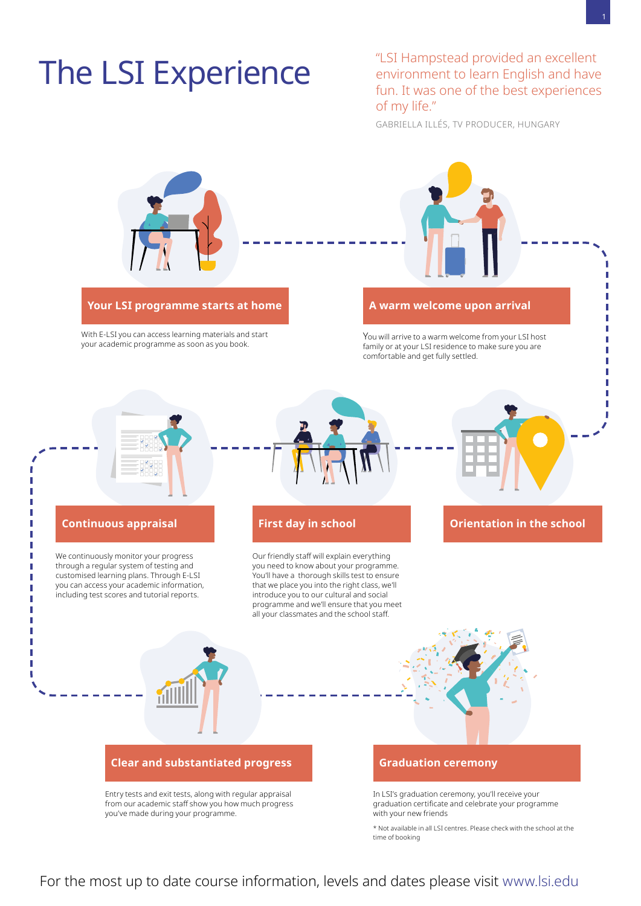# The LSI Experience

"LSI Hampstead provided an excellent environment to learn English and have fun. It was one of the best experiences of my life."

1

GABRIELLA ILLÉS, TV PRODUCER, HUNGARY



you've made during your programme.

#### \* Not available in all LSI centres. Please check with the school at the time of booking

with your new friends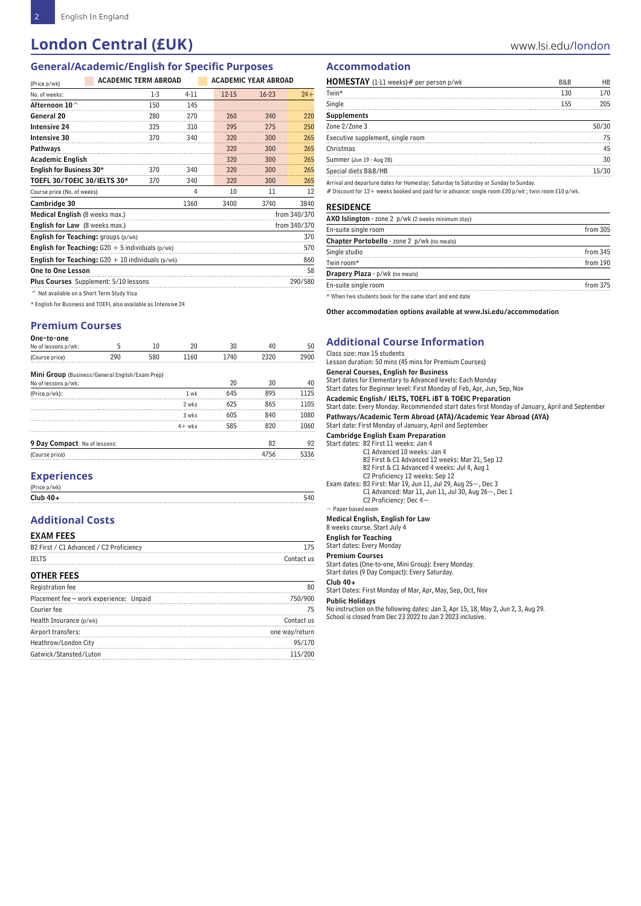# **London Central (£UK)** www.lsi.edu/london

| <b>General/Academic/English for Specific Purposes</b>          |                             |          |           |                             |              |
|----------------------------------------------------------------|-----------------------------|----------|-----------|-----------------------------|--------------|
| (Price p/wk)                                                   | <b>ACADEMIC TERM ABROAD</b> |          |           | <b>ACADEMIC YEAR ABROAD</b> |              |
| No. of weeks:                                                  | $1-3$                       | $4 - 11$ | $12 - 15$ | $16 - 23$                   | $24+$        |
| Afternoon 10 <sup><math>\land</math></sup>                     | 150                         | 145      |           |                             |              |
| General 20                                                     | 280                         | 270      | 260       | 240                         | 220          |
| <b>Intensive 24</b>                                            | 325                         | 310      | 295       | 275                         | 250          |
| <b>Intensive 30</b>                                            | 370                         | 340      | 320       | 300                         | 265          |
| Pathways                                                       |                             |          | 320       | 300                         | 265          |
| <b>Academic English</b>                                        |                             |          | 320       | 300                         | 265          |
| English for Business 30*                                       | 370                         | 340      | 320       | 300                         | 265          |
| TOEFL 30/TOEIC 30/IELTS 30*                                    | 370                         | 340      | 320       | 300                         | 265          |
| Course price (No. of weeks)                                    |                             | 4        | 10        | 11                          | 12           |
| Cambridge 30                                                   |                             | 1360     | 3400      | 3740                        | 3840         |
| Medical English (8 weeks max.)                                 |                             |          |           |                             | from 340/370 |
| <b>English for Law</b> (8 weeks max.)                          |                             |          |           |                             | from 340/370 |
| <b>English for Teaching: groups (p/wk)</b>                     |                             |          |           |                             | 370          |
| <b>English for Teaching:</b> $G20 + 5$ individuals ( $p/wk$ )  |                             |          |           |                             | 570          |
| <b>English for Teaching:</b> $G20 + 10$ individuals ( $p/wk$ ) |                             |          |           | 860                         |              |
| One to One Lesson                                              |                             |          |           |                             | 58           |
| Plus Courses Supplement: 5/10 lessons                          |                             |          | 290/580   |                             |              |

^ Not available on a Short Term Study Visa

\* English for Business and TOEFL also available as Intensive 24

### **Premium Courses**

 $Ono-to-one$ 

| VIIC LV VIIC                                    |     |     |          |      |      |      |
|-------------------------------------------------|-----|-----|----------|------|------|------|
| No of lessons p/wk:                             |     | 10  | 20       | 30   | 40   | 50   |
| (Course price)                                  | 290 | 580 | 1160     | 1740 | 2320 | 2900 |
| Mini Group (Business/General English/Exam Prep) |     |     |          |      |      |      |
| No of lessons p/wk:                             |     |     |          | 20   | 30   | 40   |
| (Price p/wk):                                   |     |     | 1 wk     | 645  | 895  | 1125 |
|                                                 |     |     | 2 wks    | 625  | 865  | 1105 |
|                                                 |     |     | 3 wks    | 605  | 840  | 1080 |
|                                                 |     |     | $4+$ wks | 585  | 820  | 1060 |
| 9 Day Compact No of lessons:                    |     |     |          |      | 82   | 92   |
| (Course price)                                  |     |     |          |      | 4756 | 5336 |

### **Experiences**

| (Price |  |
|--------|--|
| Club   |  |

### **Additional Costs**

### EXAM FEES B2 First / C1 Advanced / C2 Proficiency 175 IELTS Contact us OTHER FEES Registration fee 80 Placement fee – work experience: Unpaid 750/900 Courier fee 75 Health Insurance (p/wk) Contact us Airport transfers: one way/return Heathrow/London City 95/170 Gatwick/Stansted/Luton 115/200

### **Accommodation**

| B&B | HB    |
|-----|-------|
| 130 | 170   |
| 155 | 205   |
|     |       |
|     | 50/30 |
|     | 75    |
|     | 45    |
|     | 30    |
|     | 15/30 |
|     |       |

Arrival and departure dates for Homestay: Saturday to Saturday or Sunday to Sunday.

# Discount for 12+ weeks booked and paid for in advance: single room £20 p/wk ; twin room £10 p/wk.

#### RESIDENCE

| AXO Islington - zone 2 p/wk (2 weeks minimum stay)       |          |
|----------------------------------------------------------|----------|
| En-suite single room                                     | from 305 |
| Chapter Portobello - zone 2 p/wk (no meals)              |          |
| Single studio                                            | from 345 |
| Twin room*                                               | from 190 |
| Drapery Plaza - p/wk (no meals)                          |          |
| En-suite single room                                     | from 375 |
| * When two students book for the same start and end date |          |

Other accommodation options available at www.lsi.edu/accommodation

### **Additional Course Information**

Class size: max 15 students

Lesson duration: 50 mins (45 mins for Premium Courses)

General Courses, English for Business Start dates for Elementary to Advanced levels: Each Monday

Start dates for Beginner level: First Monday of Feb, Apr, Jun, Sep, Nov

Academic English/ IELTS, TOEFL iBT & TOEIC Preparation

Start date: Every Monday. Recommended start dates first Monday of January, April and September

Pathways/Academic Term Abroad (ATA)/Academic Year Abroad (AYA) Start date: First Monday of January, April and September

Cambridge English Exam Preparation

#### Start dates: B2 First 11 weeks: Jan 4

C1 Advanced 10 weeks: Jan 4 B2 First & C1 Advanced 12 weeks: Mar 21, Sep 12

B2 First & C1 Advanced 4 weeks: Jul 4, Aug 1

- C2 Proficiency 12 weeks: Sep 12 Exam dates: B2 First: Mar 19, Jun 11, Jul 29, Aug 25~, Dec 3 C1 Advanced: Mar 11, Jun 11, Jul 30, Aug 26~, Dec 1
	- C2 Proficiency: Dec 4~

 $\sim$  Paper based exam

Medical English, English for Law

8 weeks course. Start July 4

English for Teaching

Start dates: Every Monday

Premium Courses

Start dates (One-to-one, Mini Group): Every Monday. Start dates (9 Day Compact): Every Saturday.

Club 40+

Start Dates: First Monday of Mar, Apr, May, Sep, Oct, Nov

Public Holidays

No instruction on the following dates: Jan 3, Apr 15, 18, May 2, Jun 2, 3, Aug 29. School is closed from Dec 23 2022 to Jan 2 2023 inclusive.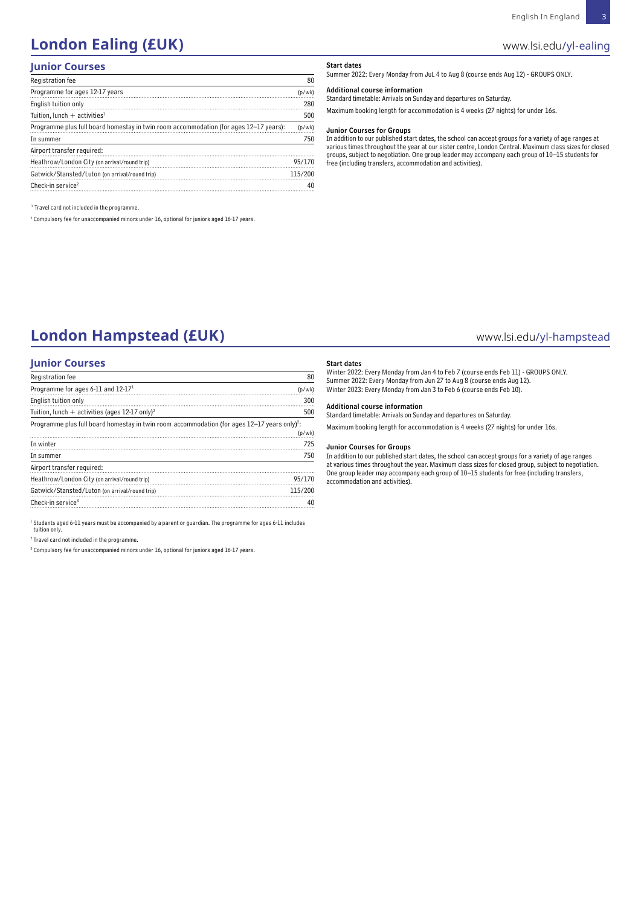# **London Ealing (£UK) London Ealing (2008)**

### **Junior Courses**

| Registration fee                                                                      | 80      |
|---------------------------------------------------------------------------------------|---------|
| Programme for ages 12-17 years                                                        | (p/wk)  |
| English tuition only                                                                  | 280     |
| Tuition, lunch $+$ activities <sup>1</sup>                                            | 500     |
| Programme plus full board homestay in twin room accommodation (for ages 12-17 years): | (p/wk)  |
| In summer                                                                             | 750     |
| Airport transfer required:                                                            |         |
| Heathrow/London City (on arrival/round trip)                                          | 95/170  |
| Gatwick/Stansted/Luton (on arrival/round trip)                                        | 115/200 |
| Check-in service <sup>2</sup>                                                         | 40      |

<sup>1</sup> Travel card not included in the programme.

2 Compulsory fee for unaccompanied minors under 16, optional for juniors aged 16-17 years.

#### Start dates

Summer 2022: Every Monday from JuL 4 to Aug 8 (course ends Aug 12) - GROUPS ONLY.

#### Additional course information

Standard timetable: Arrivals on Sunday and departures on Saturday.

Maximum booking length for accommodation is 4 weeks (27 nights) for under 16s.

#### Junior Courses for Groups

In addition to our published start dates, the school can accept groups for a variety of age ranges at various times throughout the year at our sister centre, London Central. Maximum class sizes for closed groups, subject to negotiation. One group leader may accompany each group of 10–15 students for free (including transfers, accommodation and activities).

# **London Hampstead (£UK) Example 20 AUX** www.lsi.edu/yl-hampstead

### **Junior Courses**

| Registration fee                                                                                           | 80      |
|------------------------------------------------------------------------------------------------------------|---------|
| Programme for ages 6-11 and 12-17 <sup>1</sup>                                                             | (p/wk)  |
| English tuition only                                                                                       | 300     |
| Tuition, lunch $+$ activities (ages 12-17 only) <sup>2</sup>                                               | 500     |
| Programme plus full board homestay in twin room accommodation (for ages $12-17$ years only) <sup>2</sup> : | (p/wk)  |
| In winter                                                                                                  | 725     |
| In summer                                                                                                  | 750     |
| Airport transfer required:                                                                                 |         |
| Heathrow/London City (on arrival/round trip)                                                               | 95/170  |
| Gatwick/Stansted/Luton (on arrival/round trip)                                                             | 115/200 |
| Check-in service <sup>3</sup>                                                                              | 40      |

<sup>1</sup> Students aged 6-11 years must be accompanied by a parent or guardian. The programme for ages 6-11 includes tuition only.

<sup>2</sup> Travel card not included in the programme.

<sup>3</sup> Compulsory fee for unaccompanied minors under 16, optional for juniors aged 16-17 years.

#### Start dates

Winter 2022: Every Monday from Jan 4 to Feb 7 (course ends Feb 11) - GROUPS ONLY. Summer 2022: Every Monday from Jun 27 to Aug 8 (course ends Aug 12). Winter 2023: Every Monday from Jan 3 to Feb 6 (course ends Feb 10).

#### Additional course information Standard timetable: Arrivals on Sunday and departures on Saturday.

Maximum booking length for accommodation is 4 weeks (27 nights) for under 16s.

#### Junior Courses for Groups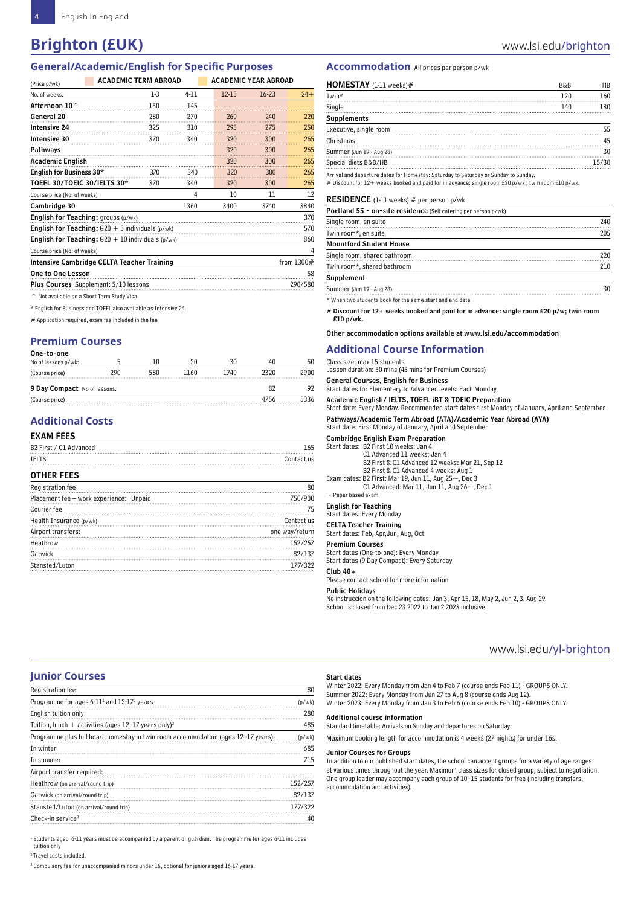$\overline{A}$ 

# **Brighton (EUK)** *Brighton CUK)*

### **General/Academic/English for Specific Purposes**

**ACADEMIC TERM ABROAD ACADEMIC YEAR ABROAD** 

| (Price p/wk)                                                   | ACADEMIC TENNI ADNOAD |       |        | ALADEMIL TEAN ADNUAD |           |              |  |
|----------------------------------------------------------------|-----------------------|-------|--------|----------------------|-----------|--------------|--|
| No. of weeks:                                                  |                       | $1-3$ | $4-11$ | $12 - 15$            | $16 - 23$ | $24+$        |  |
| Afternoon 10 $^\wedge$                                         |                       | 150   | 145    |                      |           |              |  |
| General 20                                                     |                       | 280   | 270    | 260                  | 240       | 220          |  |
| <b>Intensive 24</b>                                            |                       | 325   | 310    | 295                  | 275       | 250          |  |
| Intensive 30                                                   |                       | 370   | 340    | 320                  | 300       | 265          |  |
| Pathways                                                       |                       |       |        | 320                  | 300       | 265          |  |
| <b>Academic English</b>                                        |                       |       |        | 320                  | 300       | 265          |  |
| English for Business 30*                                       |                       | 370   | 340    | 320                  | 300       | 265          |  |
| TOEFL 30/TOEIC 30/IELTS 30*                                    |                       | 370   | 340    | 320                  | 300       | 265          |  |
| Course price (No. of weeks)                                    |                       |       | 4      | 10                   | 11        | 12           |  |
| Cambridge 30                                                   |                       |       | 1360   | 3400                 | 3740      | 3840         |  |
| <b>English for Teaching: groups (p/wk)</b>                     |                       |       |        |                      |           | 370          |  |
| <b>English for Teaching:</b> $G20 + 5$ individuals ( $p/wk$ )  |                       |       |        |                      |           | 570          |  |
| <b>English for Teaching:</b> $G20 + 10$ individuals ( $p/wk$ ) |                       |       |        |                      |           | 860          |  |
| Course price (No. of weeks)                                    |                       |       |        |                      |           | 4            |  |
| Intensive Cambridge CELTA Teacher Training                     |                       |       |        |                      |           | from $1300#$ |  |
| One to One Lesson                                              |                       |       |        |                      |           | 58           |  |
| <b>Plus Courses</b> Supplement: 5/10 lessons                   |                       |       |        |                      |           | 290/580      |  |
|                                                                |                       |       |        |                      |           |              |  |

^ Not available on a Short Term Study Visa

\* English for Business and TOEFL also available as Intensive 24

# Application required, exam fee included in the fee

### **Premium Courses**

| One-to-one                   |     |     |       |      |      |      |
|------------------------------|-----|-----|-------|------|------|------|
| No of lessons p/wk:          |     |     | 20    | 30   | 40   | 50   |
| (Course price)               | 290 | 580 | 1160. | 1740 | 2320 | 2900 |
| 9 Day Compact No of lessons: |     |     |       |      |      | 92   |
| (Course price)               |     |     |       |      | 4756 | 5336 |

### **Additional Costs**

| <b>EXAM FEES</b>                        |                |
|-----------------------------------------|----------------|
| B2 First / C1 Advanced                  | 165            |
| <b>TELTS</b>                            | Contact us     |
| <b>OTHER FEES</b>                       |                |
| Registration fee                        | 80             |
| Placement fee - work experience: Unpaid | 750/900        |
| Courier fee                             | 75             |
| Health Insurance (p/wk)                 | Contact us     |
| Airport transfers:                      | one way/return |
| Heathrow                                | 152/257        |
| Gatwick                                 | 82/137         |
| Stansted/Luton                          | 177/322        |

### **Accommodation** All prices per person p/wk

| HOMESTAY (1-11 weeks)#   | <b>R&amp;R</b> | <b>HB</b> |
|--------------------------|----------------|-----------|
| Twin*                    | 120            | 160       |
| Single                   | 140            | 180       |
| <b>Supplements</b>       |                |           |
| Executive, single room   |                | 55        |
| Christmas                |                | 45        |
| Summer (Jun 19 - Aug 28) |                | 30        |
| Special diets B&B/HB     |                | 15/30     |
|                          |                |           |

Arrival and departure dates for Homestay: Saturday to Saturday or Sunday to Sunday. # Discount for 12+ weeks booked and paid for in advance: single room £20 p/wk ; twin room £10 p/wk.

#### RESIDENCE (1-11 weeks) # per person p/wk

| <b>Portland 55 - on-site residence</b> (Self catering per person p/wk) |     |
|------------------------------------------------------------------------|-----|
| Single room, en suite                                                  | 240 |
| Twin room*, en suite                                                   | 205 |
| <b>Mountford Student House</b>                                         |     |
| Single room, shared bathroom                                           | 220 |
| Twin room*, shared bathroom                                            | 210 |
| <b>Supplement</b>                                                      |     |
| Summer (Jun 19 - Aug 28)                                               | 30  |
| * When two students book for the same start and end date               |     |

# Discount for 12+ weeks booked and paid for in advance: single room £20 p/w; twin room £10 p/wk.

Other accommodation options available at www.lsi.edu/accommodation

#### **Additional Course Information**

Class size: max 15 students Lesson duration: 50 mins (45 mins for Premium Courses)

General Courses, English for Business

Start dates for Elementary to Advanced levels: Each Monday

Academic English/ IELTS, TOEFL iBT & TOEIC Preparation Start date: Every Monday. Recommended start dates first Monday of January, April and September

Pathways/Academic Term Abroad (ATA)/Academic Year Abroad (AYA)

Start date: First Monday of January, April and September

#### Cambridge English Exam Preparation

Start dates: B2 First 10 weeks: Jan 4

C1 Advanced 11 weeks: Jan 4 B2 First & C1 Advanced 12 weeks: Mar 21, Sep 12 B2 First & C1 Advanced 4 weeks: Aug 1

Exam dates: B2 First: Mar 19, Jun 11, Aug 25~, Dec 3 C1 Advanced: Mar 11, Jun 11, Aug 26~, Dec 1

~ Paper based exam

English for Teaching

Start dates: Every Monday

CELTA Teacher Training

#### Start dates: Feb, Apr,Jun, Aug, Oct

Premium Courses

Start dates (One-to-one): Every Monday Start dates (9 Day Compact): Every Saturday

Club 40+

Please contact school for more information

#### Public Holidays

No instruccion on the following dates: Jan 3, Apr 15, 18, May 2, Jun 2, 3, Aug 29. School is closed from Dec 23 2022 to Jan 2 2023 inclusive.

### www.lsi.edu/yl-brighton

### **Junior Courses**

| <b>Registration fee</b>                                                            | 80      |
|------------------------------------------------------------------------------------|---------|
| Programme for ages $6-111$ and $12-172$ years                                      | (p/wk)  |
| English tuition only                                                               | 280     |
| Tuition, lunch + activities (ages 12 -17 years only) <sup>2</sup>                  | 485     |
| Programme plus full board homestay in twin room accommodation (ages 12 -17 years): | (p/wk)  |
| In winter                                                                          | 685     |
| In summer                                                                          | 715     |
| Airport transfer required:                                                         |         |
| Heathrow (on arrival/round trip)                                                   | 152/257 |
| Gatwick (on arrival/round trip)                                                    | 82/137  |
| Stansted/Luton (on arrival/round trip)                                             | 177/322 |
| Check-in service <sup>3</sup>                                                      | 40      |

<sup>1</sup> Students aged 6-11 years must be accompanied by a parent or guardian. The programme for ages 6-11 includes tuition only

<sup>2</sup> Travel costs included.

<sup>3</sup> Compulsory fee for unaccompanied minors under 16, optional for juniors aged 16-17 years.

### Start dates

Winter 2022: Every Monday from Jan 4 to Feb 7 (course ends Feb 11) - GROUPS ONLY. Summer 2022: Every Monday from Jun 27 to Aug 8 (course ends Aug 12). Winter 2023: Every Monday from Jan 3 to Feb 6 (course ends Feb 10) - GROUPS ONLY.

#### Additional course information

Standard timetable: Arrivals on Sunday and departures on Saturday.

Maximum booking length for accommodation is 4 weeks (27 nights) for under 16s.

#### Junior Courses for Groups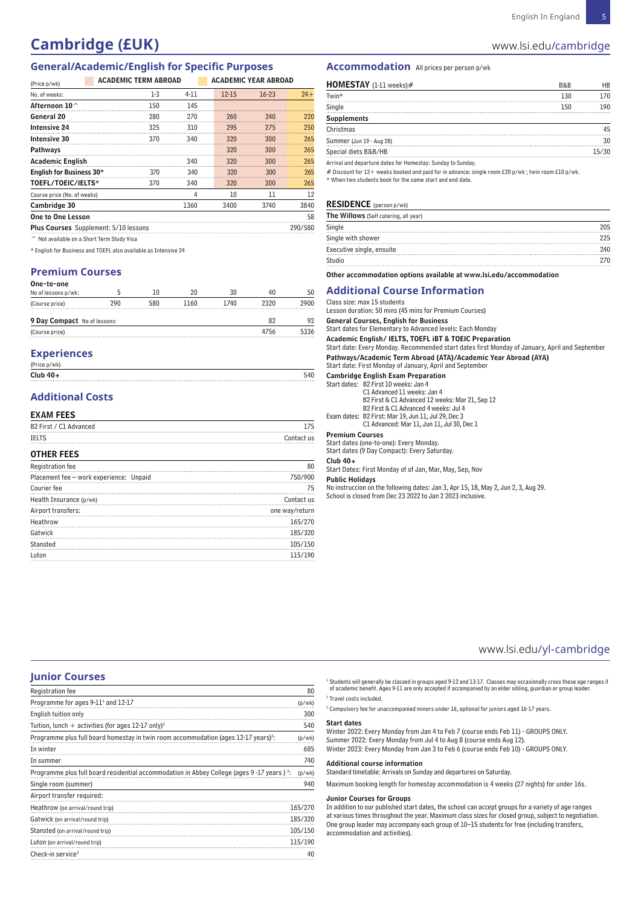# **Cambridge (£UK)** www.lsi.edu/cambridge

### **General/Academic/English for Specific Purposes**

| (Price p/wk) | <b>ACADEMIC TERM ABROAD</b> | ACADEMIC YEAR ABROAD |
|--------------|-----------------------------|----------------------|
|              |                             |                      |

| (PHCE D/WK)                                  |       |          |           |         |         |
|----------------------------------------------|-------|----------|-----------|---------|---------|
| No. of weeks:                                | $1-3$ | $4 - 11$ | $12 - 15$ | $16-23$ | $24+$   |
| Afternoon 10 <sup><math>\land</math></sup>   | 150   | 145      |           |         |         |
| General 20                                   | 280   | 270      | 260       | 240     | 220     |
| <b>Intensive 24</b>                          | 325   | 310      | 295       | 275     | 250     |
| <b>Intensive 30</b>                          | 370   | 340      | 320       | 300     | 265     |
| Pathways                                     |       |          | 320       | 300     | 265     |
| <b>Academic English</b>                      |       | 340      | 320       | 300     | 265     |
| English for Business 30*                     | 370   | 340      | 320       | 300     | 265     |
| TOEFL/TOEIC/IELTS*                           | 370   | 340      | 320       | 300     | 265     |
| Course price (No. of weeks)                  |       | 4        | 10        | 11      | 12      |
| Cambridge 30                                 |       | 1360     | 3400      | 3740    | 3840    |
| One to One Lesson                            |       |          |           |         | 58      |
| <b>Plus Courses</b> Supplement: 5/10 lessons |       |          |           |         | 290/580 |
|                                              |       |          |           |         |         |

^ Not available on a Short Term Study Visa

\* English for Business and TOEFL also available as Intensive 24

### **Premium Courses**

| One-to-one                   |     |     |      |      |      |      |
|------------------------------|-----|-----|------|------|------|------|
| No of lessons p/wk:          |     |     | 20   | 30   | 40   | 50   |
| (Course price)               | 290 | 580 | 1160 | 1740 | 2320 | 2900 |
| 9 Day Compact No of lessons: |     |     |      |      | 82   | 92   |
| (Course price)               |     |     |      |      | 4756 | 5336 |

### **Experiences**

| (Price p/wk) |     |
|--------------|-----|
| Club $40+$   | 340 |
|              |     |

### **Additional Costs**

### EXAM FEES

| B2 First / C1 Advanced | 175        |
|------------------------|------------|
| <b>TELTS</b>           | Contact us |
| <b>OTHER FEES</b>      |            |

| Registration fee                        |                |
|-----------------------------------------|----------------|
| Placement fee - work experience: Unpaid | 750/900        |
| Courier fee                             | 75             |
| Health Insurance (p/wk)                 | Contact us     |
| Airport transfers:                      | one way/return |
| Heathrow                                | 165/270        |
| Gatwick                                 | 185/320        |
| Stansted                                | 105/150        |
| Luton                                   | 115/190        |

### **Accommodation** All prices per person p/wk

| HOMESTAY (1-11 weeks)#                                      | R&R | HB    |
|-------------------------------------------------------------|-----|-------|
| Twin*                                                       | 130 | 170   |
| Single                                                      | 150 | 190   |
| <b>Supplements</b>                                          |     |       |
| Christmas                                                   |     | 45    |
| Summer (Jun 19 - Aug 28)                                    |     | 30    |
| Special diets B&B/HB                                        |     | 15/30 |
| Arrival and departure dates for Homestay: Sunday to Sunday. |     |       |

Arrival and departure dates for Homestay: Sunday to Sunday. # Discount for 12+ weeks booked and paid for in advance: single room £20 p/wk ; twin room £10 p/wk. \* When two students book for the same start and end date.

### RESIDENCE (person p/wk)

| The Willows (Self catering, all year) |     |
|---------------------------------------|-----|
| Single                                | 205 |
| Single with shower                    | 225 |
| Executive single, ensuite             | 240 |
| Studio                                | 270 |
|                                       |     |

Other accommodation options available at www.lsi.edu/accommodation

### **Additional Course Information**

Class size: max 15 students

Lesson duration: 50 mins (45 mins for Premium Courses)

General Courses, English for Business

Start dates for Elementary to Advanced levels: Each Monday

Academic English/ IELTS, TOEFL iBT & TOEIC Preparation

Start date: Every Monday. Recommended start dates first Monday of January, April and September Pathways/Academic Term Abroad (ATA)/Academic Year Abroad (AYA) Start date: First Monday of January, April and September

Cambridge English Exam Preparation

Start dates: B2 First 10 weeks: Jan 4

C1 Advanced 11 weeks: Jan 4

B2 First & C1 Advanced 12 weeks: Mar 21, Sep 12

B2 First & C1 Advanced 12 Weeks: Jul 4

Exam dates: B2 First: Mar 19, Jun 11, Jul 29, Dec 3

C1 Advanced: Mar 11, Jun 11, Jul 30, Dec 1

Premium Courses Start dates (one-to-one): Every Monday.

Start dates (9 Day Compact): Every Saturday.

#### $C$ lub 40+

Start Dates: First Monday of of Jan, Mar, May, Sep, Nov

### Public Holidays

No instruccion on the following dates: Jan 3, Apr 15, 18, May 2, Jun 2, 3, Aug 29. School is closed from Dec 23 2022 to Jan 2 2023 inclusive.

### www.lsi.edu/yl-cambridge

### **Junior Courses**

| <b>Registration fee</b>                                                                                | 80      |
|--------------------------------------------------------------------------------------------------------|---------|
| Programme for ages 9-11 <sup>1</sup> and 12-17                                                         | (p/wk)  |
| English tuition only                                                                                   | 300     |
| Tuition, lunch $+$ activities (for ages 12-17 only) <sup>2</sup>                                       | 540     |
| Programme plus full board homestay in twin room accommodation (ages 12-17 years) <sup>2</sup> :        | (p/wk)  |
| In winter                                                                                              | 685     |
| In summer                                                                                              | 740     |
| Programme plus full board residential accommodation in Abbey College (ages 9 -17 years) <sup>2</sup> : | (p/wk)  |
| Single room (summer)                                                                                   | 940     |
| Airport transfer required:                                                                             |         |
| Heathrow (on arrival/round trip)                                                                       | 165/270 |
| Gatwick (on arrival/round trip)                                                                        | 185/320 |
| Stansted (on arrival/round trip)                                                                       | 105/150 |
| Luton (on arrival/round trip)                                                                          | 115/190 |
| Check-in service <sup>3</sup>                                                                          | 40      |

<sup>1</sup> Students will generally be classed in groups aged 9-12 and 13-17. Classes may occasionally cross these age ranges if<br>of academic benefit. Ages 9-11 are only accepted if accompanied by an elder sibling, guardian or grou

<sup>2</sup> Travel costs included.

3 Compulsory fee for unaccompanied minors under 16, optional for juniors aged 16-17 years.

#### Start dates

Winter 2022: Every Monday from Jan 4 to Feb 7 (course ends Feb 11) - GROUPS ONLY. Summer 2022: Every Monday from Jul 4 to Aug 8 (course ends Aug 12). Winter 2023: Every Monday from Jan 3 to Feb 6 (course ends Feb 10) - GROUPS ONLY.

#### Additional course information

Standard timetable: Arrivals on Sunday and departures on Saturday.

Maximum booking length for homestay accommodation is 4 weeks (27 nights) for under 16s.

#### Junior Courses for Groups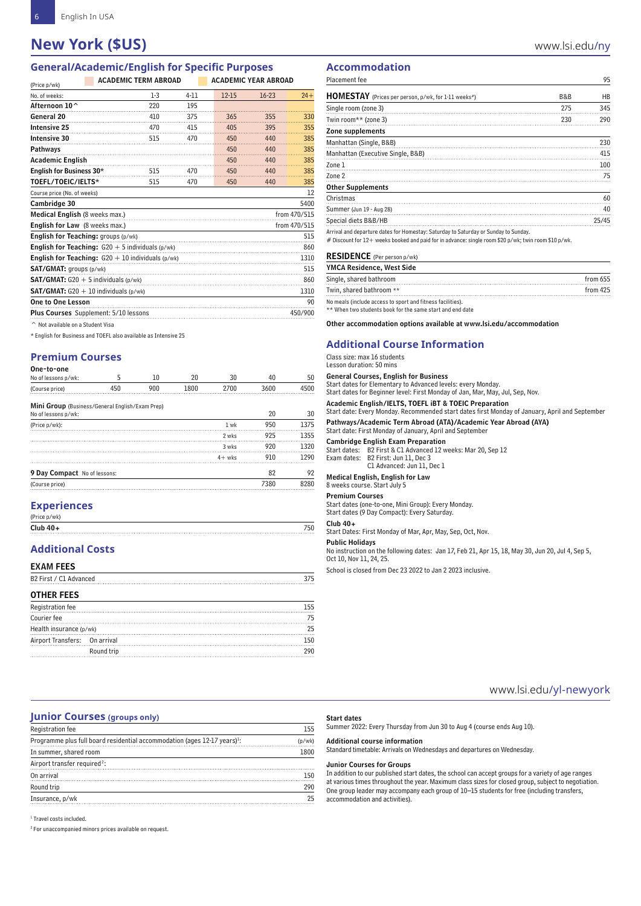# **New York (\$US)** www.lsi.edu/ny

# **General/Academic/English for Specific Purposes**

**ACADEMIC TERM ABROAD** 

| (Price p/wk)                                                   | ALADEMIL IEKM ABKUAD |       |          | ALADEMIL YEAK ABKUAD |           |              |
|----------------------------------------------------------------|----------------------|-------|----------|----------------------|-----------|--------------|
| No. of weeks:                                                  |                      | $1-3$ | $4 - 11$ | $12 - 15$            | $16 - 23$ | $24+$        |
| Afternoon 10 <sup>^</sup>                                      |                      | 220   | 195      |                      |           |              |
| General 20                                                     |                      | 410   | 375      | 365                  | 355       | 330          |
| <b>Intensive 25</b>                                            |                      | 470   | 415      | 405                  | 395       | 355          |
| <b>Intensive 30</b>                                            |                      | 515   | 470      | 450                  | 440       | 385          |
| Pathways                                                       |                      |       |          | 450                  | 440       | 385          |
| <b>Academic English</b>                                        |                      |       |          | 450                  | 440       | 385          |
| English for Business 30*                                       |                      | 515   | 470      | 450                  | 440       | 385          |
| TOEFL/TOEIC/IELTS*                                             |                      | 515   | 470      | 450                  | 440       | 385          |
| Course price (No. of weeks)                                    |                      |       |          |                      |           | 12           |
| Cambridge 30                                                   |                      |       |          |                      |           | 5400         |
| Medical English (8 weeks max.)                                 |                      |       |          |                      |           | from 470/515 |
| English for Law (8 weeks max.)                                 |                      |       |          |                      |           | from 470/515 |
| <b>English for Teaching:</b> groups (p/wk)                     |                      |       |          |                      |           | 515          |
| <b>English for Teaching:</b> $G20 + 5$ individuals ( $p/wk$ )  |                      |       |          |                      |           | 860          |
| <b>English for Teaching:</b> $G20 + 10$ individuals ( $p/wk$ ) |                      |       |          |                      |           | 1310         |
| <b>SAT/GMAT:</b> groups (p/wk)                                 |                      |       |          |                      |           | 515          |
| <b>SAT/GMAT:</b> $G20 + 5$ individuals ( $p/wk$ )              |                      |       |          |                      |           | 860          |
| <b>SAT/GMAT:</b> $G20 + 10$ individuals ( $p/wk$ )             |                      |       |          |                      |           | 1310         |
| <b>One to One Lesson</b>                                       |                      |       |          |                      |           | 90           |
| Plus Courses Supplement: 5/10 lessons                          |                      |       |          |                      |           | 450/900      |
| $\hat{\ }$ Not available on a Student Visa                     |                      |       |          |                      |           |              |

\* English for Business and TOEFL also available as Intensive 25

#### **Premium Courses**

| One-to-one |  |  |  |
|------------|--|--|--|
|------------|--|--|--|

| No of lessons p/wk:                             |     | 10  | 20   | 30       | 40   | 50   |
|-------------------------------------------------|-----|-----|------|----------|------|------|
| (Course price)                                  | 450 | 900 | 1800 | 2700     | 3600 | 4500 |
| Mini Group (Business/General English/Exam Prep) |     |     |      |          |      |      |
| No of lessons p/wk:                             |     |     |      |          | 20   | 30   |
| (Price p/wk):                                   |     |     |      | 1 wk     | 950  | 1375 |
|                                                 |     |     |      | 2 wks    | 925  | 1355 |
|                                                 |     |     |      | 3 wks    | 920  | 1320 |
|                                                 |     |     |      | $4+$ wks | 910  | 1290 |
| 9 Day Compact No of lessons:                    |     |     |      |          | 82   | 92   |
| (Course price)                                  |     |     |      |          | 7380 | 8280 |

### **Experiences**

| (Price p/wk) |     |
|--------------|-----|
| Club 40+     | '50 |
|              |     |

### **Additional Costs**

| <b>EXAM FEES</b><br>B2 First / C1 Advanced |            | 375 |
|--------------------------------------------|------------|-----|
| <b>OTHER FEES</b>                          |            |     |
| Registration fee                           |            | 155 |
| Courier fee                                |            | 75  |
| Health insurance (p/wk)                    |            | 25  |
| Airport Transfers: On arrival              |            | 150 |
|                                            | Round trip | 290 |

### **Accommodation**

| Placement fee                                                                       |     | 95    |
|-------------------------------------------------------------------------------------|-----|-------|
| HOMESTAY (Prices per person, p/wk, for 1-11 weeks#)                                 | B&B | HB    |
| Single room (zone 3)                                                                | 275 | 345   |
| Twin room** (zone 3)                                                                | 230 | 290   |
| Zone supplements                                                                    |     |       |
| Manhattan (Single, B&B)                                                             |     | 230   |
| Manhattan (Executive Single, B&B)                                                   |     | 415   |
| Zone 1                                                                              |     | 100   |
| Zone 2                                                                              |     | 75    |
| <b>Other Supplements</b>                                                            |     |       |
| Christmas                                                                           |     | 60    |
| Summer (Jun 19 - Aug 28)                                                            |     | 40    |
| Special diets B&B/HB                                                                |     | 25/45 |
| Arrival and departure dates for Homestav: Saturdav to Saturdav or Sundav to Sundav. |     |       |

Arrival and departure dates for Homestay: Saturday to Saturday or Sunday to Sunday. # Discount for 12+ weeks booked and paid for in advance: single room \$20 p/wk; twin room \$10 p/wk.

#### RESIDENCE (Per person p/wk)

| YMCA Residence. West Side                                  |            |
|------------------------------------------------------------|------------|
| Single, shared bathroom                                    | from $655$ |
| Twin, shared bathroom **                                   | from $425$ |
| No meals (include access to sport and fitness facilities). |            |

\*\* When two students book for the same start and end date

Other accommodation options available at www.lsi.edu/accommodation

### **Additional Course Information**

Class size: max 16 students

### Lesson duration: 50 mins

General Courses, English for Business Start dates for Elementary to Advanced levels: every Monday. Start dates for Beginner level: First Monday of Jan, Mar, May, Jul, Sep, Nov.

Academic English/IELTS, TOEFL iBT & TOEIC Preparation

Start date: Every Monday. Recommended start dates first Monday of January, April and September Pathways/Academic Term Abroad (ATA)/Academic Year Abroad (AYA)

Start date: First Monday of January, April and September

#### Cambridge English Exam Preparation

Start dates: B2 First & C1 Advanced 12 weeks: Mar 20, Sep 12

Exam dates: B2 First: Jun 11, Dec 3 C1 Advanced: Jun 11, Dec 1

### Medical English, English for Law

8 weeks course. Start July 5

#### Premium Courses

Start dates (one-to-one, Mini Group): Every Monday. Start dates (9 Day Compact): Every Saturday.

#### $C$ lub 40+

Start Dates: First Monday of Mar, Apr, May, Sep, Oct, Nov.

### Public Holidays

No instruction on the following dates: Jan 17, Feb 21, Apr 15, 18, May 30, Jun 20, Jul 4, Sep 5, Oct 10, Nov 11, 24, 25.

School is closed from Dec 23 2022 to Jan 2 2023 inclusive.

### www.lsi.edu/yl-newyork

### **Junior Courses (groups only)** Registration fee 155

| Programme plus full board residential accommodation (ages 12-17 years) <sup>1</sup> : |      |
|---------------------------------------------------------------------------------------|------|
| In summer, shared room                                                                | 1800 |
| Airport transfer required <sup>2</sup> :                                              |      |
| On arrival                                                                            | 150  |
| Round trip                                                                            | 290  |
| Insurance, p/wk                                                                       |      |

Start dates

Summer 2022: Every Thursday from Jun 30 to Aug 4 (course ends Aug 10).

### Additional course information

Standard timetable: Arrivals on Wednesdays and departures on Wednesday.

#### Junior Courses for Groups

In addition to our published start dates, the school can accept groups for a variety of age ranges at various times throughout the year. Maximum class sizes for closed group, subject to negotiation. One group leader may accompany each group of 10–15 students for free (including transfers, accommodation and activities).

1 Travel costs included.

2 For unaccompanied minors prices available on request.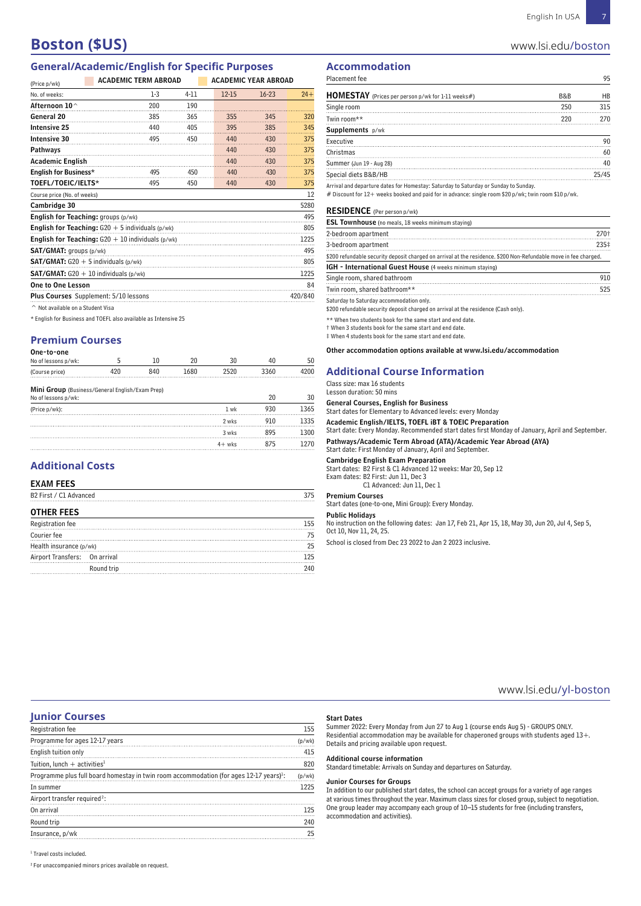# **Boston (\$US)** www.lsi.edu/boston

# **General/Academic/English for Specific Purposes**

**ACADEMIC TERM ABROAD** 

| (Price p/wk)                                       | ACADEMIC TERM ABROAD                                           |        |           | ACADEMIC YEAR ABROAD |         |
|----------------------------------------------------|----------------------------------------------------------------|--------|-----------|----------------------|---------|
| No. of weeks:                                      | $1-3$                                                          | $4-11$ | $12 - 15$ | $16 - 23$            | $24+$   |
| Afternoon 10 $^{\scriptscriptstyle\wedge}$         | 200                                                            | 190    |           |                      |         |
| General 20                                         | 385                                                            | 365    | 355       | 345                  | 320     |
| <b>Intensive 25</b>                                | 440                                                            | 405    | 395       | 385                  | 345     |
| <b>Intensive 30</b>                                | 495                                                            | 450    | 440       | 430                  | 375     |
| Pathways                                           |                                                                |        | 440       | 430                  | 375     |
| <b>Academic English</b>                            |                                                                |        | 440       | 430                  | 375     |
| English for Business*                              | 495                                                            | 450    | 440       | 430                  | 375     |
| TOEFL/TOEIC/IELTS*                                 | 495                                                            | 450    | 440       | 430                  | 375     |
| Course price (No. of weeks)                        |                                                                |        |           |                      | 12      |
| Cambridge 30                                       |                                                                |        |           |                      | 5280    |
| English for Teaching: groups (p/wk)                |                                                                |        |           |                      | 495     |
|                                                    | <b>English for Teaching:</b> $G20 + 5$ individuals ( $p/wk$ )  |        |           |                      | 805     |
|                                                    | <b>English for Teaching:</b> $G20 + 10$ individuals ( $p/wk$ ) |        |           |                      | 1225    |
| <b>SAT/GMAT:</b> groups (p/wk)                     |                                                                |        |           |                      | 495     |
| <b>SAT/GMAT:</b> G20 $+$ 5 individuals ( $p/wk$ )  |                                                                |        |           |                      | 805     |
| <b>SAT/GMAT:</b> $G20 + 10$ individuals ( $p/wk$ ) |                                                                |        |           |                      | 1225    |
| One to One Lesson                                  |                                                                |        |           |                      | 84      |
| Plus Courses Supplement: 5/10 lessons              |                                                                |        |           |                      | 420/840 |
|                                                    |                                                                |        |           |                      |         |

 $\hat{ }$  Not available on a Student Visa

\* English for Business and TOEFL also available as Intensive 25

### **Premium Courses**

| One-to-one          |  |     |          |  |
|---------------------|--|-----|----------|--|
| No of lessons p/wk: |  |     |          |  |
| (Course price)      |  | 680 | 336C<br> |  |

Mini Group (Business/General English/Exam Prep)

| No of lessons p/wk: |          |      |     |
|---------------------|----------|------|-----|
| (Price p/wk):       | 1 wk     |      | 365 |
|                     | 2 wks    | 01 N | 335 |
|                     | 3 wks    |      | 300 |
|                     | $4+$ wks | 875  | 270 |
|                     |          |      |     |

### **Additional Costs**

### EXAM FEES

B<sub>2</sub> First / C1 Advanced 375

### OTHER FEES

| Registration fee              |            | 155 |
|-------------------------------|------------|-----|
| Courier fee                   |            | 75  |
| Health insurance (p/wk)       |            | クら  |
| Airport Transfers: On arrival |            | 125 |
|                               | Round trip | 240 |
|                               |            |     |

**Accommodation**

| Placement fee                                                                      |                | 95    |
|------------------------------------------------------------------------------------|----------------|-------|
| $HOMESTAY$ (Prices per person p/wk for 1-11 weeks#)                                | <b>B&amp;B</b> | HB    |
| Single room                                                                        | 250            | 315   |
| Twin room**                                                                        | 220            | 270   |
| Supplements p/wk                                                                   |                |       |
| Executive                                                                          |                | 90    |
| Christmas                                                                          |                | 60    |
| Summer (Jun 19 - Aug 28)                                                           |                | 40    |
| Special diets B&B/HB                                                               |                | 25/45 |
| Arrival and departure dates for Homestay: Caturday to Caturday or Cunday to Cunday |                |       |

Arrival and departure dates for Homestay: Saturday to Saturday or Sunday to Sunday. # Discount for 12+ weeks booked and paid for in advance: single room \$20 p/wk; twin room \$10 p/wk.

### RESIDENCE (Per person p/wk)

| <b>ESL Townhouse</b> (no meals, 18 weeks minimum staying)                                                                     |      |
|-------------------------------------------------------------------------------------------------------------------------------|------|
| 2-bedroom apartment                                                                                                           | 270+ |
| 3-bedroom apartment                                                                                                           | 235‡ |
| \$200 refundable security deposit charged on arrival at the residence. \$200 Non-Refundable move in fee charged.              |      |
| IGH - International Guest House (4 weeks minimum staying)                                                                     |      |
| Single room, shared bathroom                                                                                                  | 910  |
| Twin room, shared bathroom**                                                                                                  | 525  |
| Saturday to Saturday accommodation only.<br>\$200 refundable security denosit charged on arrival at the residence (Cash only) |      |

sit charged on arrival at the residence (Cash only).

\*\* When two students book for the same start and end date.

† When 3 students book for the same start and end date.

‡ When 4 students book for the same start and end date.

Other accommodation options available at www.lsi.edu/accommodation

### **Additional Course Information**

Class size: max 16 students

Lesson duration: 50 mins

#### General Courses, English for Business Start dates for Elementary to Advanced levels: every Monday

Academic English/IELTS, TOEFL iBT & TOEIC Preparation Start date: Every Monday. Recommended start dates first Monday of January, April and September.

Pathways/Academic Term Abroad (ATA)/Academic Year Abroad (AYA)

#### Start date: First Monday of January, April and September. Cambridge English Exam Preparation

Start dates: B2 First & C1 Advanced 12 weeks: Mar 20, Sep 12 Exam dates: B2 First: Jun 11, Dec 3

C1 Advanced: Jun 11, Dec 1

Premium Courses Start dates (one-to-one, Mini Group): Every Monday.

### Public Holidays

No instruction on the following dates: Jan 17, Feb 21, Apr 15, 18, May 30, Jun 20, Jul 4, Sep 5, Oct 10, Nov 11, 24, 25.

School is closed from Dec 23 2022 to Jan 2 2023 inclusive.

### www.lsi.edu/yl-boston

### **Junior Courses**

| Registration fee                                                                                    | 155    |
|-----------------------------------------------------------------------------------------------------|--------|
| Programme for ages 12-17 years                                                                      | (p/wk) |
| English tuition only                                                                                | 415    |
| Tuition, lunch + activities <sup>1</sup>                                                            | 820    |
| Programme plus full board homestay in twin room accommodation (for ages 12-17 years) <sup>1</sup> : | (p/wk) |
| In summer                                                                                           | 1225   |
| Airport transfer required <sup>2</sup> :                                                            |        |
| On arrival                                                                                          | 125    |
| Round trip                                                                                          | 240    |
| Insurance, p/wk                                                                                     | 25     |

#### Start Dates

Summer 2022: Every Monday from Jun 27 to Aug 1 (course ends Aug 5) - GROUPS ONLY. Residential accommodation may be available for chaperoned groups with students aged 13+. Details and pricing available upon request.

## Additional course information

Standard timetable: Arrivals on Sunday and departures on Saturday.

### Junior Courses for Groups

In addition to our published start dates, the school can accept groups for a variety of age ranges at various times throughout the year. Maximum class sizes for closed group, subject to negotiation. One group leader may accompany each group of 10–15 students for free (including transfers, accommodation and activities).

1 Travel costs included.

2 For unaccompanied minors prices available on request.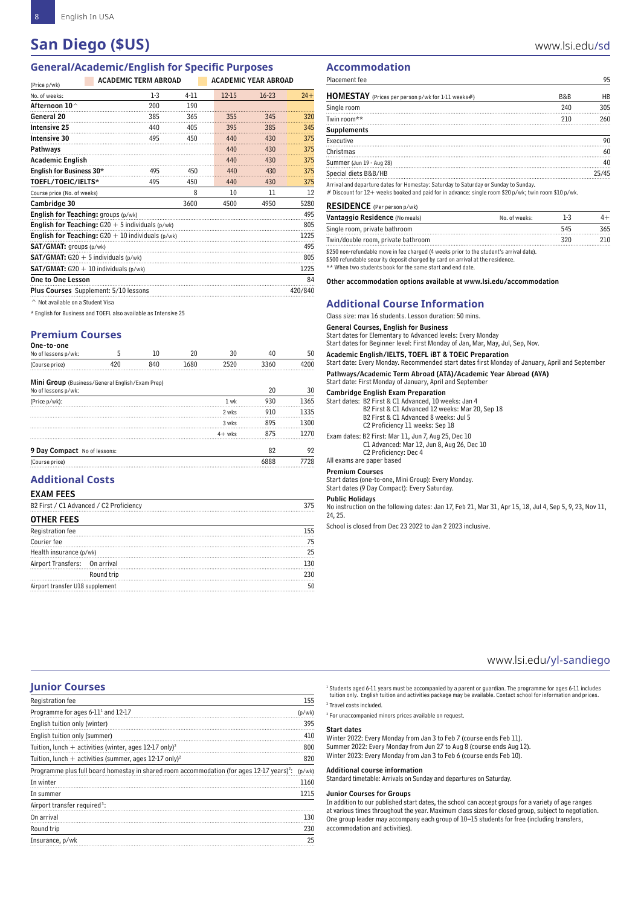# **San Diego (\$US)** www.lsi.edu/sd

# **General/Academic/English for Specific Purposes**

**ACADEMIC YEAR ABROAD** 

| (Price p/wk)                                                   |       |              |           |           |         |
|----------------------------------------------------------------|-------|--------------|-----------|-----------|---------|
| No. of weeks:                                                  | $1-3$ | $4-11$       | $12 - 15$ | $16 - 23$ | $24+$   |
| Afternoon 10 <sup><math>\land</math></sup>                     | 200   | 190          |           |           |         |
| General 20                                                     | 385   | 365          | 355       | 345       | 320     |
| <b>Intensive 25</b>                                            | 440   | 405          | 395       | 385       | 345     |
| Intensive 30                                                   | 495   | 450          | 440       | 430       | 375     |
| Pathways                                                       |       |              | 440       | 430       | 375     |
| <b>Academic English</b>                                        |       |              | 440       | 430       | 375     |
| English for Business 30*                                       | 495   | 450          | 440       | 430       | 375     |
| TOEFL/TOEIC/IELTS*                                             | 495   | 450          | 440       | 430       | 375     |
| Course price (No. of weeks)                                    |       | $\mathbf{8}$ | 10        | 11        | 12      |
| Cambridge 30                                                   |       | 3600         | 4500      | 4950      | 5280    |
| English for Teaching: groups (p/wk)                            |       |              |           |           | 495     |
| <b>English for Teaching:</b> $G20 + 5$ individuals ( $p/wk$ )  |       |              |           |           | 805     |
| <b>English for Teaching:</b> $G20 + 10$ individuals ( $p/wk$ ) |       |              |           |           | 1225    |
| SAT/GMAT: groups (p/wk)                                        |       |              |           |           | 495     |
| <b>SAT/GMAT:</b> $G20 + 5$ individuals ( $p/wk$ )              |       |              |           |           | 805     |
| <b>SAT/GMAT:</b> $G20 + 10$ individuals ( $p/wk$ )             |       |              |           |           | 1225    |
| One to One Lesson                                              |       |              |           |           | 84      |
| <b>Plus Courses</b> Supplement: 5/10 lessons                   |       |              |           |           | 420/840 |
| $\hat{\ }$ Not available on a Student Visa                     |       |              |           |           |         |

\* English for Business and TOEFL also available as Intensive 25

### **Premium Courses**

| One-to-one                                      |     |     |      |          |      |      |
|-------------------------------------------------|-----|-----|------|----------|------|------|
| No of lessons p/wk:                             |     | 10  | 20   | 30       | 40   | 50   |
| (Course price)                                  | 420 | 840 | 1680 | 2520     | 3360 |      |
| Mini Group (Business/General English/Exam Prep) |     |     |      |          |      |      |
| No of lessons p/wk:                             |     |     |      |          | 20   | 30   |
| (Price p/wk):                                   |     |     |      | 1 wk     | 930  | 1365 |
|                                                 |     |     |      | 2 wks    | 910  | 1335 |
|                                                 |     |     |      | 3 wks    | 895  | 1300 |
|                                                 |     |     |      | $4+$ wks | 875  | 1270 |

9 Day Compact No of lessons: 82 92 (Course price) 6888 7728

|  |  |  |  | <b>Additional Costs</b> |
|--|--|--|--|-------------------------|

#### EXAM FEES

| B2 First / C1 Advanced / C2 Proficiency |            | 375 |
|-----------------------------------------|------------|-----|
| <b>OTHER FEES</b>                       |            |     |
| Registration fee                        |            | 155 |
| Courier fee                             |            | 75  |
| Health insurance (p/wk)                 |            | 25  |
| Airport Transfers: On arrival           |            | 130 |
|                                         | Round trip | 230 |
| Airport transfer U18 supplement         |            |     |

### **Accommodation**

| Placement fee                                     |     | 95        |
|---------------------------------------------------|-----|-----------|
| HOMESTAY (Prices per person p/wk for 1-11 weeks#) | B&B | <b>HB</b> |
| Single room                                       | 240 | 305       |
| Twin room**                                       | 210 | 260       |
| <b>Supplements</b>                                |     |           |
| Executive                                         |     | 90        |
| Christmas                                         |     | 60        |
| Summer (Jun 19 - Aug 28)                          |     | 40        |
| Special diets B&B/HB                              |     | 25/45     |

Arrival and departure dates for Homestay: Saturday to Saturday or Sunday to Sunday.

# Discount for 12+ weeks booked and paid for in advance: single room \$20 p/wk; twin room \$10 p/wk.

#### RESIDENCE (Per person p/wk)

| Vantaggio Residence (No meals)     | No. of weeks: | $1-3$ |     |
|------------------------------------|---------------|-------|-----|
| Single room, private bathroom      |               | 545   | 365 |
| Twin/double room, private bathroom |               | 320   |     |

\$250 non-refundable move in fee charged (4 weeks prior to the student's arrival date).

\$500 refundable security deposit charged by card on arrival at the residence.

\*\* When two students book for the same start and end date.

#### Other accommodation options available at www.lsi.edu/accommodation

### **Additional Course Information**

#### Class size: max 16 students. Lesson duration: 50 mins.

#### General Courses, English for Business

Start dates for Elementary to Advanced levels: Every Monday

Start dates for Beginner level: First Monday of Jan, Mar, May, Jul, Sep, Nov.

### Academic English/IELTS, TOEFL iBT & TOEIC Preparation

Start date: Every Monday. Recommended start dates first Monday of January, April and September

Pathways/Academic Term Abroad (ATA)/Academic Year Abroad (AYA)

### Start date: First Monday of January, April and September

| <b>Cambridge English Exam Preparation</b>            |
|------------------------------------------------------|
| Start dates: B2 First & C1 Advanced, 10 weeks: Jan 4 |
| B2 First & C1 Advanced 12 weeks: Mar 20, Sep 18      |
| B2 First & C1 Advanced 8 weeks: Jul 5                |
| C2 Proficiency 11 weeks: Sep 18                      |

Exam dates: B2 First: Mar 11, Jun 7, Aug 25, Dec 10 C1 Advanced: Mar 12, Jun 8, Aug 26, Dec 10

C2 Proficiency: Dec 4 All exams are paper based

#### Premium Courses

Start dates (one-to-one, Mini Group): Every Monday. Start dates (9 Day Compact): Every Saturday.

### Public Holidays

No instruction on the following dates: Jan 17, Feb 21, Mar 31, Apr 15, 18, Jul 4, Sep 5, 9, 23, Nov 11, 24, 25.

School is closed from Dec 23 2022 to Jan 2 2023 inclusive.

### www.lsi.edu/yl-sandiego

#### **Junior Courses**

| <b>Registration fee</b>                                                                               | 155    |
|-------------------------------------------------------------------------------------------------------|--------|
| Programme for ages 6-11 <sup>1</sup> and 12-17                                                        | (p/wk) |
| English tuition only (winter)                                                                         | 395    |
| English tuition only (summer)                                                                         | 410    |
| Tuition, lunch $+$ activities (winter, ages 12-17 only) <sup>2</sup>                                  | 800    |
| Tuition, lunch $+$ activities (summer, ages 12-17 only) <sup>2</sup>                                  | 820    |
| Programme plus full board homestay in shared room accommodation (for ages 12-17 years) <sup>2</sup> : | (p/wk) |
| In winter                                                                                             | 1160   |
| In summer                                                                                             | 1215   |
| Airport transfer required <sup>3</sup> :                                                              |        |
| On arrival                                                                                            | 130    |
| Round trip                                                                                            | 230    |
| Insurance, p/wk                                                                                       | 25     |

 $^{\rm 1}$  Students aged 6-11 years must be accompanied by a parent or guardian. The programme for ages 6-11 includes tuition only. English tuition and activities package may be available. Contact school for information and prices.

2 Travel costs included.

### 3 For unaccompanied minors prices available on request.

Start dates Winter 2022: Every Monday from Jan 3 to Feb 7 (course ends Feb 11). Summer 2022: Every Monday from Jun 27 to Aug 8 (course ends Aug 12). Winter 2023: Every Monday from Jan 3 to Feb 6 (course ends Feb 10).

#### Additional course information

Standard timetable: Arrivals on Sunday and departures on Saturday.

#### Junior Courses for Groups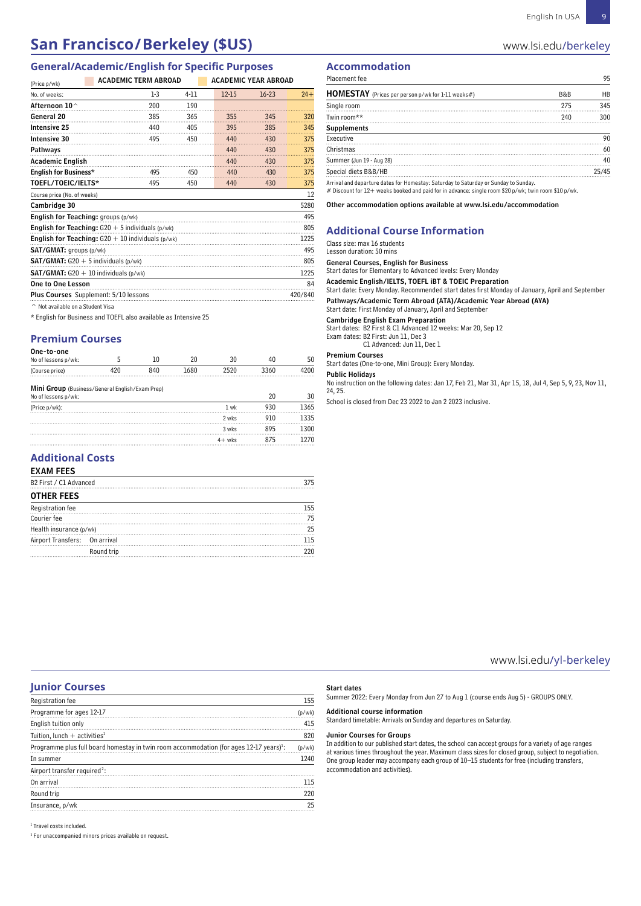# **San Francisco/Berkeley (\$US)** www.lsi.edu/berkeley

### **General/Academic/English for Specific Purposes**

| (Price p/wk)                                                   | <b>ACADEMIC TERM ABROAD</b> |        |           | <b>ACADEMIC YEAR ABROAD</b> |         |
|----------------------------------------------------------------|-----------------------------|--------|-----------|-----------------------------|---------|
| No. of weeks:                                                  | $1-3$                       | $4-11$ | $12 - 15$ | $16 - 23$                   | $24+$   |
| Afternoon 10 $^{\scriptscriptstyle\wedge}$                     | 200                         | 190    |           |                             |         |
| General 20                                                     | 385                         | 365    | 355       | 345                         | 320     |
| <b>Intensive 25</b>                                            | 440                         | 40.5   | 395       | 385                         | 345     |
| <b>Intensive 30</b>                                            | 495                         | 450    | 440       | 430                         | 375     |
| Pathways                                                       |                             |        | 440       | 430                         | 375     |
| <b>Academic English</b>                                        |                             |        | 440       | 430                         | 375     |
| English for Business*                                          | 495                         | 450    | 440       | 430                         | 375     |
| TOEFL/TOEIC/IELTS*                                             | 495                         | 450    | 440       | 430                         | 375     |
| Course price (No. of weeks)                                    |                             |        |           |                             | 12      |
| Cambridge 30                                                   |                             |        |           |                             | 5280    |
| English for Teaching: groups (p/wk)                            |                             |        |           |                             | 495     |
| <b>English for Teaching:</b> $G20 + 5$ individuals ( $p/wk$ )  |                             |        |           |                             | 805     |
| <b>English for Teaching:</b> $G20 + 10$ individuals ( $p/wk$ ) |                             |        |           |                             | 1225    |
| SAT/GMAT: groups (p/wk)                                        |                             |        |           |                             | 495     |
| <b>SAT/GMAT:</b> G20 $+$ 5 individuals ( $p/wk$ )              |                             |        |           |                             | 805     |
| <b>SAT/GMAT:</b> $G20 + 10$ individuals ( $p/wk$ )             |                             |        |           |                             | 1225    |
| One to One Lesson                                              |                             |        |           |                             | 84      |
| Plus Courses Supplement: 5/10 lessons                          |                             |        |           |                             | 420/840 |
|                                                                |                             |        |           |                             |         |

^ Not available on a Student Visa

\* English for Business and TOEFL also available as Intensive 25

### **Premium Courses**

| 3360 |      |
|------|------|
|      | 1680 |

Mini Group (Business/General English/Exam Prep)

| No of lessons p/wk: |          |     |     |
|---------------------|----------|-----|-----|
| (Price p/wk):       | 1 wk     | 930 | 365 |
|                     | 2 wks    | 910 |     |
|                     | 3 wks    | 895 |     |
|                     | $4+$ wks | くノら |     |

#### **Additional Costs**  EXAM FEES

| <b>EAAM FEES</b>              |            |     |
|-------------------------------|------------|-----|
| B2 First / C1 Advanced        |            | 375 |
| <b>OTHER FEES</b>             |            |     |
| Registration fee              |            | 155 |
| Courier fee                   |            | 75  |
| Health insurance (p/wk)       |            | 25  |
| Airport Transfers: On arrival |            | 115 |
|                               | Round trip | 220 |
|                               |            |     |

# **Accommodation**

| Placement fee                                     |     | 95    |
|---------------------------------------------------|-----|-------|
| HOMESTAY (Prices per person p/wk for 1-11 weeks#) | B&B | HB    |
| Single room                                       | 275 | 345   |
| Twin room**                                       | 240 | 300   |
| <b>Supplements</b>                                |     |       |
| Executive                                         |     | 90    |
| Christmas                                         |     | 60    |
| Summer (Jun 19 - Aug 28)                          |     | 40    |
| Special diets B&B/HB                              |     | 25/45 |

Arrival and departure dates for Homestay: Saturday to Saturday or Sunday to Sunday. # Discount for 12+ weeks booked and paid for in advance: single room \$20 p/wk; twin room \$10 p/wk.

Other accommodation options available at www.lsi.edu/accommodation

### **Additional Course Information**

Class size: max 16 students

Lesson duration: 50 mins

General Courses, English for Business

Start dates for Elementary to Advanced levels: Every Monday

Academic English/IELTS, TOEFL iBT & TOEIC Preparation Start date: Every Monday. Recommended start dates first Monday of January, April and September

Pathways/Academic Term Abroad (ATA)/Academic Year Abroad (AYA) Start date: First Monday of January, April and September

### Cambridge English Exam Preparation

Start dates: B2 First & C1 Advanced 12 weeks: Mar 20, Sep 12 Exam dates: B2 First: Jun 11, Dec 3

C1 Advanced: Jun 11, Dec 1

Premium Courses

Start dates (One-to-one, Mini Group): Every Monday.

Public Holidays

No instruction on the following dates: Jan 17, Feb 21, Mar 31, Apr 15, 18, Jul 4, Sep 5, 9, 23, Nov 11, 24, 25.

School is closed from Dec 23 2022 to Jan 2 2023 inclusive.

### www.lsi.edu/yl-berkeley

### **Junior Courses**

| Registration fee                                                                                    | 155    |
|-----------------------------------------------------------------------------------------------------|--------|
| Programme for ages 12-17                                                                            | (p/wk) |
| English tuition only                                                                                | 415    |
| Tuition, lunch $+$ activities <sup>1</sup>                                                          | 820    |
| Programme plus full board homestay in twin room accommodation (for ages 12-17 years) <sup>1</sup> : | (p/wk) |
| In summer                                                                                           | 1240   |
| Airport transfer required <sup>2</sup> :                                                            |        |
| On arrival                                                                                          | 115    |
| Round trip                                                                                          | 220    |
| Insurance, p/wk                                                                                     | 25     |

### Start dates

Summer 2022: Every Monday from Jun 27 to Aug 1 (course ends Aug 5) - GROUPS ONLY.

#### Additional course information

Standard timetable: Arrivals on Sunday and departures on Saturday.

#### Junior Courses for Groups

In addition to our published start dates, the school can accept groups for a variety of age ranges at various times throughout the year. Maximum class sizes for closed group, subject to negotiation. One group leader may accompany each group of 10–15 students for free (including transfers, accommodation and activities).

1 Travel costs included.

2 For unaccompanied minors prices available on request.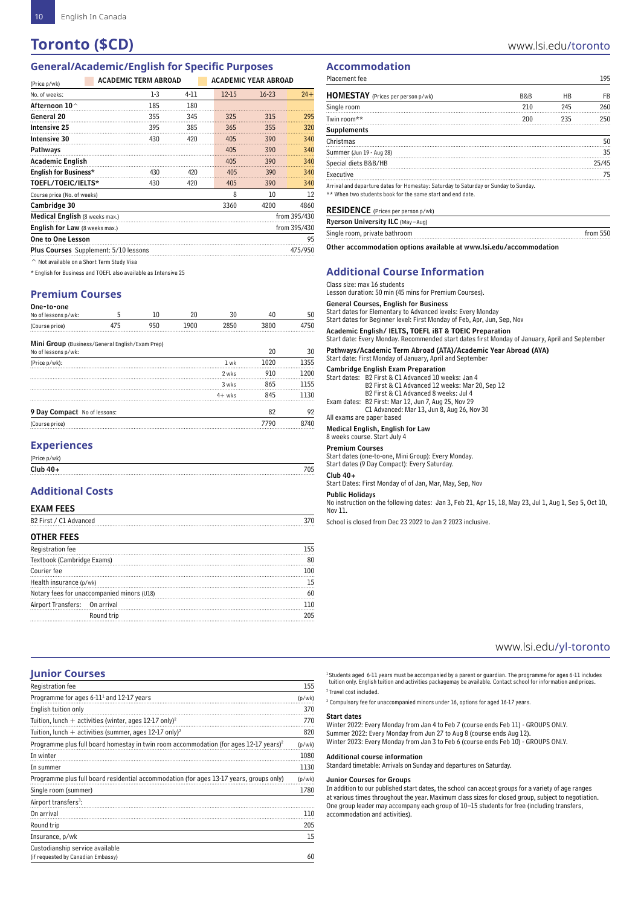# **Toronto (\$CD)** www.lsi.edu/toronto

### **General/Academic/English for Specific Purposes**

**ACADEMIC TERM ABROAD ACADEMIC YEAR ABROAD** 

| (Price p/wk)                                                                         | ACADEMIC TENNI ADNOAD |      |           | ACADEMIC TEAN ADNUAD |              |
|--------------------------------------------------------------------------------------|-----------------------|------|-----------|----------------------|--------------|
| No. of weeks:                                                                        | 1-3                   | 4-11 | $12 - 15$ | $16-23$              | $24+$        |
| Afternoon 10 $\mathord{\stackrel{\scriptscriptstyle\wedge}{\scriptscriptstyle\sim}}$ | 185                   | 180  |           |                      |              |
| General 20                                                                           | 355                   | 345  | 325       | 315                  | 295          |
| <b>Intensive 25</b>                                                                  | 395                   | 385  | 365       | 355                  | 320          |
| Intensive 30                                                                         | 430                   | 420  | 405       | 390                  | 340          |
| Pathways                                                                             |                       |      | 405       | 390                  | 340          |
| <b>Academic English</b>                                                              |                       |      | 405       | 390                  | 340          |
| English for Business*                                                                | 430                   | 420  | 405       | 390                  | 340          |
| TOEFL/TOEIC/IELTS*                                                                   | 430                   | 420  | 405       | 390                  | 340          |
| Course price (No. of weeks)                                                          |                       |      | 8         | 10                   | 12           |
| Cambridge 30                                                                         |                       |      | 3360      | 4200                 | 4860         |
| <b>Medical English (8 weeks max.)</b>                                                |                       |      |           |                      | from 395/430 |
| <b>English for Law (8 weeks max.)</b>                                                |                       |      |           |                      | from 395/430 |
| <b>One to One Lesson</b>                                                             |                       |      |           |                      | 95           |
| <b>Plus Courses</b> Supplement: 5/10 lessons                                         |                       |      |           |                      | 475/950      |
| Not available on a Short Term Study Visa                                             |                       |      |           |                      |              |

\* English for Business and TOEFL also available as Intensive 25

### **Premium Courses**

| One-to-one          |  |     |      |      |      |      |
|---------------------|--|-----|------|------|------|------|
| No of lessons p/wk: |  |     |      | 30   | 40   | 50   |
| (Course price)      |  | 950 | 1900 | 2850 | 3800 | 1750 |

| Mini Group (Business/General English/Exam Prep)<br>No of lessons p/wk: |          | 20   | 30   |
|------------------------------------------------------------------------|----------|------|------|
| (Price p/wk):                                                          | 1 wk     | 1020 | 1355 |
|                                                                        | 2 wks    | 910  | 1200 |
|                                                                        | 3 wks    | 865  | 1155 |
|                                                                        | $4+$ wks | 845  | 1130 |
| 9 Day Compact No of lessons:                                           |          | 82   | 92   |
| (Course price)                                                         |          | 7790 | 8740 |
|                                                                        |          |      |      |

### **Experiences**

| co n /wk<br>WN. |  |
|-----------------|--|
| Club $40+$      |  |
|                 |  |

### **Additional Costs**

| <b>EXAM FEES</b>                               |     |
|------------------------------------------------|-----|
| B <sub>2</sub> First / C <sub>1</sub> Advanced | 370 |
| <b>OTHER FEES</b>                              |     |
| Registration fee                               | 155 |
| Textbook (Cambridge Exams)                     | 80  |
| Courier fee                                    | 100 |
| Health insurance (p/wk)                        | 15  |
| Notary fees for unaccompanied minors (U18)     | 60  |

Airport Transfers: On arrival 110

Round trip 205

### **Accommodation**

| Placement fee                                                                                                                                     |     |     | 195       |
|---------------------------------------------------------------------------------------------------------------------------------------------------|-----|-----|-----------|
| <b>HOMESTAY</b> (Prices per person p/wk)                                                                                                          | B&B | HB  | <b>FB</b> |
| Single room                                                                                                                                       | 210 | 245 | 260       |
| Twin room**                                                                                                                                       | 200 | 235 | 250       |
| <b>Supplements</b>                                                                                                                                |     |     |           |
| Christmas                                                                                                                                         |     |     | 50        |
| Summer (Jun 19 - Aug 28)                                                                                                                          |     |     | 35        |
| Special diets B&B/HB                                                                                                                              |     |     | 25/45     |
| Executive                                                                                                                                         |     |     | 75        |
| Arrival and departure dates for Homestay: Saturday to Saturday or Sunday to Sunday.<br>** When two students book for the same start and end date. |     |     |           |

#### RESIDENCE (Prices per person p/wk)

| <b>Ryerson University ILC (May-Aug)</b> |            |
|-----------------------------------------|------------|
| Single room, private bathroom           | from $550$ |

Other accommodation options available at www.lsi.edu/accommodation

### **Additional Course Information**

Class size: max 16 students

Lesson duration: 50 min (45 mins for Premium Courses).

#### General Courses, English for Business

Start dates for Elementary to Advanced levels: Every Monday Start dates for Beginner level: First Monday of Feb, Apr, Jun, Sep, Nov Academic English/ IELTS, TOEFL iBT & TOEIC Preparation

Start date: Every Monday. Recommended start dates first Monday of January, April and September

#### Pathways/Academic Term Abroad (ATA)/Academic Year Abroad (AYA) Start date: First Monday of January, April and September

#### Cambridge English Exam Preparation

| Start dates: B2 First & C1 Advanced 10 weeks: Jan 4 |
|-----------------------------------------------------|
| B2 First & C1 Advanced 12 weeks: Mar 20, Sep 12     |
| B2 First & C1 Advanced 8 weeks: Jul 4               |
| Exam dates: B2 First: Mar 12, Jun 7, Aug 25, Nov 29 |

C1 Advanced: Mar 13, Jun 8, Aug 26, Nov 30

All exams are paper based

#### Medical English, English for Law

8 weeks course. Start July 4

Premium Courses

Start dates (one-to-one, Mini Group): Every Monday. Start dates (9 Day Compact): Every Saturday.

### Club 40+

Start Dates: First Monday of of Jan, Mar, May, Sep, Nov

#### Public Holidays

No instruction on the following dates: Jan 3, Feb 21, Apr 15, 18, May 23, Jul 1, Aug 1, Sep 5, Oct 10, Nov 11.

School is closed from Dec 23 2022 to Jan 2 2023 inclusive.

### www.lsi.edu/yl-toronto

### **Junior Courses**

| <b>Registration fee</b>                                                                           | 155    |
|---------------------------------------------------------------------------------------------------|--------|
| Programme for ages $6$ -11 $1$ and 12-17 years                                                    | (p/wk) |
| English tuition only                                                                              | 370    |
| Tuition, lunch $+$ activities (winter, ages 12-17 only) <sup>2</sup>                              | 770    |
| Tuition, lunch $+$ activities (summer, ages 12-17 only) <sup>2</sup>                              | 820    |
| Programme plus full board homestay in twin room accommodation (for ages 12-17 years) <sup>2</sup> | (p/wk) |
| In winter                                                                                         | 1080   |
| In summer                                                                                         | 1130   |
| Programme plus full board residential accommodation (for ages 13-17 years, groups only)           | (p/wk) |
| Single room (summer)                                                                              | 1780   |
| Airport transfers <sup>3</sup> :                                                                  |        |
| On arrival                                                                                        | 110    |
| Round trip                                                                                        | 205    |
| Insurance, p/wk                                                                                   | 15     |
| Custodianship service available                                                                   |        |
| (if requested by Canadian Embassy)                                                                | 60     |

<sup>1</sup> Students aged 6-11 years must be accompanied by a parent or guardian. The programme for ages 6-11 includes<br>tuition only. English tuition and activities packagemay be available. Contact school for information and prices 2 Travel cost included.

3 Compulsory fee for unaccompanied minors under 16, options for aged 16-17 years.

#### Start dates

Winter 2022: Every Monday from Jan 4 to Feb 7 (course ends Feb 11) - GROUPS ONLY. Summer 2022: Every Monday from Jun 27 to Aug 8 (course ends Aug 12). Winter 2023: Every Monday from Jan 3 to Feb 6 (course ends Feb 10) - GROUPS ONLY.

Additional course information

Standard timetable: Arrivals on Sunday and departures on Saturday.

#### Junior Courses for Groups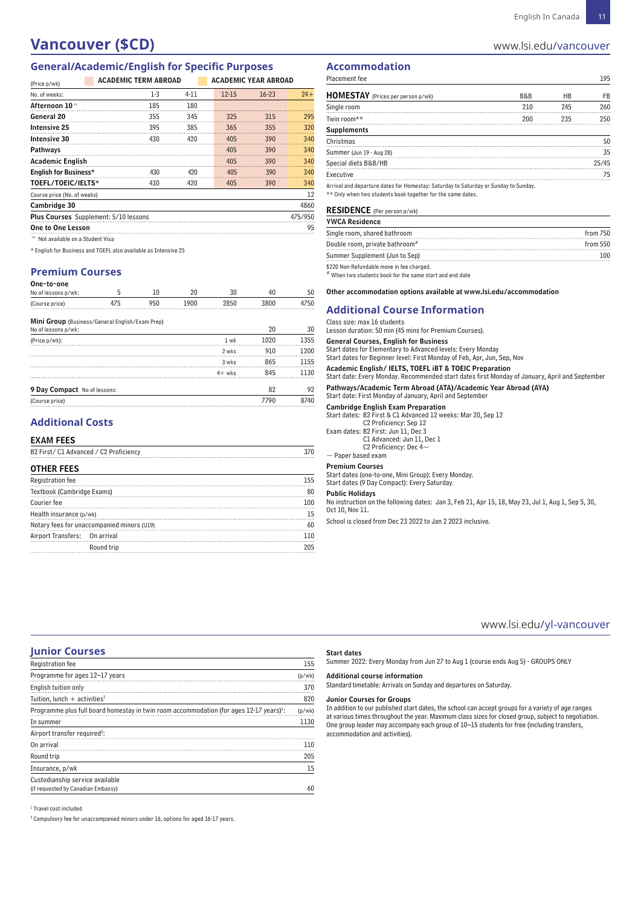# **Vancouver (\$CD)** www.lsi.edu/vancouver

### **General/Academic/English for Specific Purposes**

| (Price p/wk)                                 | <b>ACADEMIC TERM ABROAD</b> |        |           | <b>ACADEMIC YEAR ABROAD</b> |         |
|----------------------------------------------|-----------------------------|--------|-----------|-----------------------------|---------|
| No. of weeks:                                | $1-3$                       | $4-11$ | $12 - 15$ | $16-23$                     | $24+$   |
| Afternoon $10^{\sim}$                        | 185                         | 180    |           |                             |         |
| General 20                                   | 355                         | 345    | 325       | 315                         | 295     |
| <b>Intensive 25</b>                          | 395                         | 385    | 365       | 355                         | 320     |
| <b>Intensive 30</b>                          | 430                         | 420    | 405       | 390                         | 340     |
| Pathways                                     |                             |        | 405       | 390                         | 340     |
| <b>Academic English</b>                      |                             |        | 405       | 390                         | 340     |
| English for Business*                        | 430                         | 420    | 405       | 390                         | 340     |
| TOEFL/TOEIC/IELTS*                           | 430                         | 420    | 405       | 390                         | 340     |
| Course price (No. of weeks)                  |                             |        |           |                             | 12      |
| Cambridge 30                                 |                             |        |           |                             | 4860    |
| <b>Plus Courses</b> Supplement: 5/10 lessons |                             |        |           |                             | 475/950 |
| One to One Lesson                            |                             |        |           |                             | 95      |

^ Not available on a Student Visa

\* English for Business and TOEFL also available as Intensive 25

### **Premium Courses**

| One-to-one |
|------------|
|------------|

| No of lessons p/wk:                                                    |     |     | 20   |       | 40   | 50   |
|------------------------------------------------------------------------|-----|-----|------|-------|------|------|
| (Course price)                                                         | 475 | 950 | 1900 | 2850  | 3800 | 4750 |
| Mini Group (Business/General English/Exam Prep)<br>No of lessons p/wk: |     |     |      |       | 20   | 30   |
| (Price p/wk):                                                          |     |     |      | 1 wk  | 1020 | 1355 |
|                                                                        |     |     |      | 2 wks | 910  | 1200 |
|                                                                        |     |     |      | 3 wks | 865  | 1155 |

|                              | $4+$ wks | 845  |     |
|------------------------------|----------|------|-----|
| 9 Day Compact No of lessons: |          |      |     |
| (Course price)               |          | 7790 | 740 |

### **Additional Costs**

#### EXAM FEES

| B2 First/ C1 Advanced / C2 Proficiency |  |
|----------------------------------------|--|
|                                        |  |

| <b>OTHER FEES</b>             |                                            |     |
|-------------------------------|--------------------------------------------|-----|
| Registration fee              |                                            | 155 |
| Textbook (Cambridge Exams)    |                                            | 80  |
| Courier fee                   |                                            | 100 |
| Health insurance (p/wk)       |                                            |     |
|                               | Notary fees for unaccompanied minors (U19) | 60  |
| Airport Transfers: On arrival |                                            |     |
|                               | Round trip                                 |     |

#### **Accommodation**

| Placement fee                                                                                                                                      |     |     | 195   |
|----------------------------------------------------------------------------------------------------------------------------------------------------|-----|-----|-------|
| <b>HOMESTAY</b> (Prices per person p/wk)                                                                                                           | B&B | HB  | FB    |
| Single room                                                                                                                                        | 210 | 245 | 260   |
| Twin room**                                                                                                                                        | 200 | 235 | 250   |
| <b>Supplements</b>                                                                                                                                 |     |     |       |
| Christmas                                                                                                                                          |     |     | 50    |
| Summer (Jun 19 - Aug 28)                                                                                                                           |     |     | 35    |
| Special diets B&B/HB                                                                                                                               |     |     | 25/45 |
| Executive                                                                                                                                          |     |     | 75    |
| Arrival and departure dates for Homestay: Saturday to Saturday or Sunday to Sunday.<br>** Only when two students book together for the same dates. |     |     |       |

#### RESIDENCE (Per person p/wk)

| <b>YWCA Residence</b>                     |            |
|-------------------------------------------|------------|
| Single room, shared bathroom              | from $750$ |
| Double room, private bathroom#            | from $550$ |
| Summer Supplement (Jun to Sep)            |            |
| \$220 Non-Refundable move in fee charged. |            |

\$220 Non-Refundable move in fee charged. # When two students book for the same start and end date

#### Other accommodation options available at www.lsi.edu/accommodation

### **Additional Course Information**

### Class size: max 16 students

Lesson duration: 50 min (45 mins for Premium Courses).

General Courses, English for Business

Start dates for Elementary to Advanced levels: Every Monday Start dates for Beginner level: First Monday of Feb, Apr, Jun, Sep, Nov

Academic English/ IELTS, TOEFL iBT & TOEIC Preparation

Start date: Every Monday. Recommended start dates first Monday of January, April and September

Pathways/Academic Term Abroad (ATA)/Academic Year Abroad (AYA) Start date: First Monday of January, April and September

### Cambridge English Exam Preparation

Start dates: B2 First & C1 Advanced 12 weeks: Mar 20, Sep 12 C2 Proficiency: Sep 12

Exam dates: B2 First: Jun 11, Dec 3

C1 Advanced: Jun 11, Dec 1 C2 Proficiency: Dec 4~  $\sim$  Paper based exam

#### Premium Courses

Start dates (one-to-one, Mini Group): Every Monday. Start dates (9 Day Compact): Every Saturday.

#### Public Holidays

No instruction on the following dates: Jan 3, Feb 21, Apr 15, 18, May 23, Jul 1, Aug 1, Sep 5, 30, Oct 10, Nov 11.

School is closed from Dec 23 2022 to Jan 2 2023 inclusive.

### www.lsi.edu/yl-vancouver

#### **Junior Courses**

| Registration fee                                                                                    | 155    |
|-----------------------------------------------------------------------------------------------------|--------|
| Programme for ages 12-17 years                                                                      | (p/wk) |
| English tuition only                                                                                | 370    |
| Tuition, lunch $+$ activities <sup>1</sup>                                                          | 820    |
| Programme plus full board homestay in twin room accommodation (for ages 12-17 years) <sup>1</sup> : | (p/wk) |
| In summer                                                                                           | 1130   |
| Airport transfer required <sup>2</sup> :                                                            |        |
| On arrival                                                                                          | 110    |
| Round trip                                                                                          | 205    |
| Insurance, p/wk                                                                                     | 15     |
| Custodianship service available                                                                     |        |
| (if requested by Canadian Embassy)                                                                  | 60     |

#### Start dates

Summer 2022: Every Monday from Jun 27 to Aug 1 (course ends Aug 5) - GROUPS ONLY

Additional course information Standard timetable: Arrivals on Sunday and departures on Saturday.

#### Junior Courses for Groups

In addition to our published start dates, the school can accept groups for a variety of age ranges at various times throughout the year. Maximum class sizes for closed group, subject to negotiation. One group leader may accompany each group of 10–15 students for free (including transfers, accommodation and activities).

<sup>1</sup> Travel cost included

<sup>2</sup> Compulsory fee for unaccompanied minors under 16, options for aged 16-17 years.

11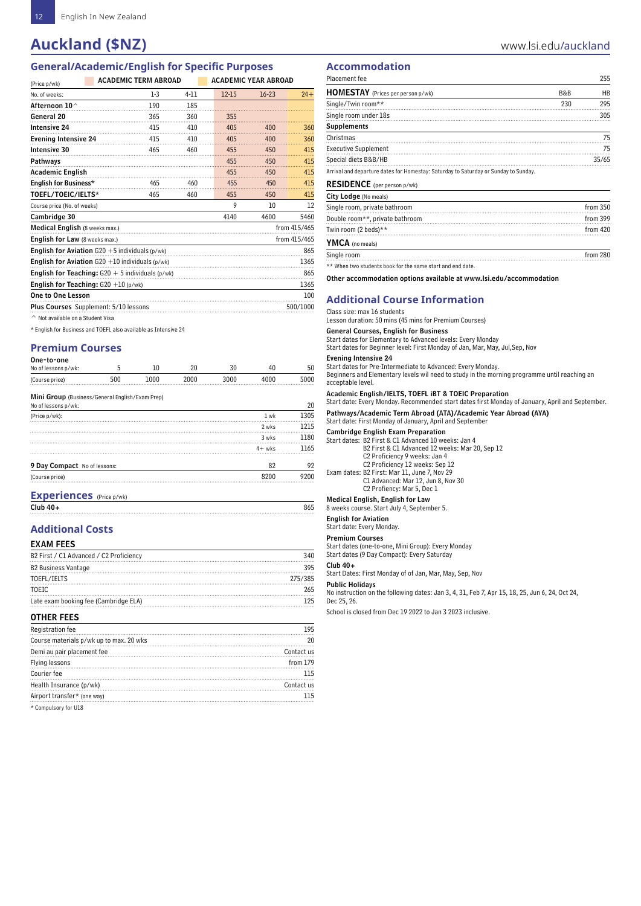# **Auckland (\$NZ)** www.lsi.edu/auckland

# **General/Academic/English for Specific Purposes**

 $\overline{\phantom{a}}$  ACADEMIC YEAR ABROAD

| (Price p/wk)                                       | ALADEMIL IEKM ABKUAD                                          |          |           | ALADEMIL YEAR ABRUAD |              |
|----------------------------------------------------|---------------------------------------------------------------|----------|-----------|----------------------|--------------|
| No. of weeks:                                      | $1-3$                                                         | $4 - 11$ | $12 - 15$ | $16 - 23$            | $24+$        |
| Afternoon 10 <sup><math>\land</math></sup>         | 190                                                           | 185      |           |                      |              |
| General 20                                         | 365                                                           | 360      | 355       |                      |              |
| <b>Intensive 24</b>                                | 415                                                           | 410      | 405       | 400                  | 360          |
| <b>Evening Intensive 24</b>                        | 415                                                           | 410      | 405       | 400                  | 360          |
| <b>Intensive 30</b>                                | 465                                                           | 460      | 455       | 450                  | 415          |
| Pathways                                           |                                                               |          | 455       | 450                  | 415          |
| <b>Academic English</b>                            |                                                               |          | 455       | 450                  | 415          |
| English for Business*                              | 465                                                           | 460      | 455       | 450                  | 415          |
| TOEFL/TOEIC/IELTS*                                 | 465                                                           | 460      | 455       | 450                  | 415          |
| Course price (No. of weeks)                        |                                                               |          | 9         | 10                   | 12           |
| Cambridge 30                                       |                                                               |          | 4140      | 4600                 | 5460         |
| <b>Medical English (8 weeks max.)</b>              |                                                               |          |           |                      | from 415/465 |
| English for Law (8 weeks max.)                     |                                                               |          |           |                      | from 415/465 |
|                                                    | <b>English for Aviation</b> G20 $+5$ individuals ( $p/wk$ )   |          |           |                      | 865          |
|                                                    | <b>English for Aviation</b> G20 $+10$ individuals ( $p/wk$ )  |          |           |                      | 1365         |
|                                                    | <b>English for Teaching:</b> $G20 + 5$ individuals ( $p/wk$ ) |          |           |                      | 865          |
| <b>English for Teaching:</b> $G20 + 10$ ( $p/wk$ ) |                                                               |          |           |                      | 1365         |
| <b>One to One Lesson</b>                           |                                                               |          |           |                      | 100          |
| Plus Courses Supplement: 5/10 lessons              |                                                               |          |           |                      | 500/1000     |
| $\hat{\ }$ Not available on a Student Visa         |                                                               |          |           |                      |              |

\* English for Business and TOEFL also available as Intensive 24

### **Premium Courses**

| One-to-one<br>No of lessons p/wk: |  |  | 50 |
|-----------------------------------|--|--|----|
| (Course price)                    |  |  |    |

Mini Group (Business/General English/Exam Prep)

| No of lessons p/wk:          |          | 20   |
|------------------------------|----------|------|
| (Price p/wk):                | 1 wk     | 1305 |
|                              | 2 wks    | 1215 |
|                              | 3 wks    | 1180 |
|                              | $4+$ wks | 1165 |
| 9 Day Compact No of lessons: | 82       | 92   |
| (Course price)               | 8200     | 9200 |

| <b>Experiences</b> (Price p/wk) |  |
|---------------------------------|--|
| Club $40+$                      |  |

### **Additional Costs**

| <b>EXAM FEES</b>                        |         |
|-----------------------------------------|---------|
| B2 First / C1 Advanced / C2 Proficiency | 340     |
| <b>B2 Business Vantage</b>              | 395     |
| TOEFL/IELTS                             | 275/385 |
| TOEIC                                   | 265     |
| Late exam booking fee (Cambridge ELA)   | 125     |

#### OTHER FEES

| Registration fee                        | 195        |
|-----------------------------------------|------------|
| Course materials p/wk up to max. 20 wks |            |
| Demi au pair placement fee              | Contact us |
| Flying lessons                          | from 179   |
| Courier fee                             | 115        |
| Health Insurance (p/wk)                 | Contact us |
| Airport transfer* (one way)             | 115        |

\* Compulsory for U18

### **Accommodation**

| Placement fee                            |     | 255   |
|------------------------------------------|-----|-------|
| <b>HOMESTAY</b> (Prices per person p/wk) | B&B | HB    |
| Single/Twin room**                       | 230 | 295   |
| Single room under 18s                    |     | 305   |
| <b>Supplements</b>                       |     |       |
| Christmas                                |     | 75    |
| <b>Executive Supplement</b>              |     | 75    |
| Special diets B&B/HB                     |     | 35/65 |
|                                          |     |       |

Arrival and departure dates for Homestay: Saturday to Saturday or Sunday to Sunday.

#### RESIDENCE (per person p/wk)

| City Lodge (No meals)           |            |
|---------------------------------|------------|
| Single room, private bathroom   | from 350   |
| Double room**, private bathroom | from 399   |
| Twin room (2 beds)**            | from $420$ |
| YMCA (no meals)                 |            |
| Single room                     | from 280   |

\*\* When two students book for the same start and end date.

Other accommodation options available at www.lsi.edu/accommodation

# **Additional Course Information**

### Class size: max 16 students

Lesson duration: 50 mins (45 mins for Premium Courses)

### General Courses, English for Business

Start dates for Elementary to Advanced levels: Every Monday Start dates for Beginner level: First Monday of Jan, Mar, May, Jul,Sep, Nov

#### Evening Intensive 24

Start dates for Pre-Intermediate to Advanced: Every Monday. Beginners and Elementary levels wil need to study in the morning programme until reaching an acceptable level.

### Academic English/IELTS, TOEFL iBT & TOEIC Preparation

Start date: Every Monday. Recommended start dates first Monday of January, April and September.

Pathways/Academic Term Abroad (ATA)/Academic Year Abroad (AYA) Start date: First Monday of January, April and September

### Cambridge English Exam Preparation

Start dates: B2 First & C1 Advanced 10 weeks: Jan 4 B2 First & C1 Advanced 12 weeks: Mar 20, Sep 12 C2 Proficiency 9 weeks: Jan 4 C2 Proficiency 12 weeks: Sep 12 Exam dates: B2 First: Mar 11, June 7, Nov 29 C1 Advanced: Mar 12, Jun 8, Nov 30

C2 Profiency: Mar 5, Dec 1 Medical English, English for Law

#### 8 weeks course. Start July 4, September 5.

#### English for Aviation

Start date: Every Monday.

### Premium Courses

Start dates (one-to-one, Mini Group): Every Monday

#### Start dates (9 Day Compact): Every Saturday

Club 40+

### Start Dates: First Monday of of Jan, Mar, May, Sep, Nov

Public Holidays

No instruction on the following dates: Jan 3, 4, 31, Feb 7, Apr 15, 18, 25, Jun 6, 24, Oct 24, Dec 25, 26.

School is closed from Dec 19 2022 to Jan 3 2023 inclusive.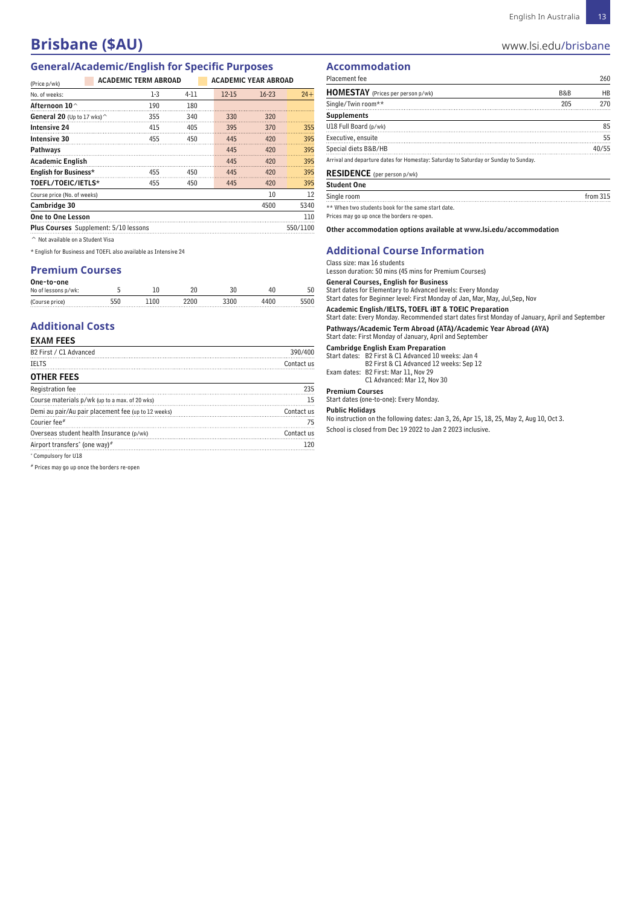# **Brisbane (\$AU) brisbane** (\$AU)

### **General/Academic/English for Specific Purposes**

| (Price p/wk)                                                                         | <b>ACADEMIC TERM ABROAD</b> |          |           | ACADEMIC YEAR ABROAD |          |
|--------------------------------------------------------------------------------------|-----------------------------|----------|-----------|----------------------|----------|
| No. of weeks:                                                                        | $1-3$                       | $4 - 11$ | $12 - 15$ | $16 - 23$            | $24+$    |
| Afternoon 10 $\mathord{\stackrel{\scriptscriptstyle\wedge}{\scriptscriptstyle\sim}}$ | 190                         | 180      |           |                      |          |
| <b>General 20</b> (Up to 17 wks) $\hat{ }$                                           | 355                         | 340      | 330       | 320                  |          |
| Intensive 24                                                                         | 415                         | 40.5     | 395       | 370                  | 355      |
| <b>Intensive 30</b>                                                                  | 455                         | 450      | 445       | 420                  | 395      |
| Pathways                                                                             |                             |          | 445       | 420                  | 395      |
| <b>Academic English</b>                                                              |                             |          | 445       | 420                  | 395      |
| English for Business*                                                                | 455                         | 450      | 445       | 420                  | 395      |
| TOEFL/TOEIC/IETLS*                                                                   | 455                         | 450      | 445       | 420                  | 395      |
| Course price (No. of weeks)                                                          |                             |          |           | 10                   | 12       |
| Cambridge 30                                                                         |                             |          |           | 4500                 | 5340     |
| One to One Lesson                                                                    |                             |          |           |                      | 110      |
| <b>Plus Courses</b> Supplement: 5/10 lessons                                         |                             |          |           |                      | 550/1100 |

^ Not available on a Student Visa

\* English for Business and TOEFL also available as Intensive 24

### **Premium Courses**

| One-to-one          |  |  |    |     |
|---------------------|--|--|----|-----|
| No of lessons p/wk: |  |  | 40 | 50  |
| (Course price)      |  |  |    | 500 |

#### **Additional Costs**  EXAM FEES

| <b>EXAM FEES</b>                                    |            |
|-----------------------------------------------------|------------|
| B2 First / C1 Advanced                              | 390/400    |
| <b>TELTS</b>                                        | Contact us |
| <b>OTHER FEES</b>                                   |            |
| Registration fee                                    | 235        |
| Course materials p/wk (up to a max. of 20 wks)      | 15         |
| Demi au pair/Au pair placement fee (up to 12 weeks) | Contact us |
| Courier fee#                                        | 75         |
| Overseas student health Insurance (p/wk)            | Contact us |
| Airport transfers* (one way)#                       | 120        |
| * Compulsory for U18                                |            |
|                                                     |            |

# Prices may go up once the borders re-open

### **Accommodation**

| Placement fee                                                                       |     | 260       |
|-------------------------------------------------------------------------------------|-----|-----------|
| <b>HOMESTAY</b> (Prices per person p/wk)                                            | B&B | <b>HB</b> |
| Single/Twin room**                                                                  | 205 | 270       |
| <b>Supplements</b>                                                                  |     |           |
| U18 Full Board (p/wk)                                                               |     | 85        |
| Executive, ensuite                                                                  |     | 55        |
| Special diets B&B/HB                                                                |     | 40/55     |
| Arrival and departure dates for Homestay: Saturday to Saturday or Sunday to Sunday. |     |           |
| <b>RESIDENCE</b> (per person p/wk)                                                  |     |           |
| <b>Student One</b>                                                                  |     |           |

Single room from 315

\*\* When two students book for the same start date. Prices may go up once the borders re-open.

Other accommodation options available at www.lsi.edu/accommodation

### **Additional Course Information**

Class size: max 16 students

Lesson duration: 50 mins (45 mins for Premium Courses)

General Courses, English for Business Start dates for Elementary to Advanced levels: Every Monday

Start dates for Beginner level: First Monday of Jan, Mar, May, Jul,Sep, Nov

**Academic English/IELTS, TOEFL iBT & TOEIC Preparation**<br>Start date: Every Monday. Recommended start dates first Monday of January, April and September

Pathways/Academic Term Abroad (ATA)/Academic Year Abroad (AYA)

Start date: First Monday of January, April and September

### Cambridge English Exam Preparation

Start dates: B2 First & C1 Advanced 10 weeks: Jan 4 B2 First & C1 Advanced 12 weeks: Sep 12

Exam dates: B2 First: Mar 11, Nov 29 C1 Advanced: Mar 12, Nov 30

### Premium Courses

Start dates (one-to-one): Every Monday.

#### Public Holidays

No instruction on the following dates: Jan 3, 26, Apr 15, 18, 25, May 2, Aug 10, Oct 3.

School is closed from Dec 19 2022 to Jan 2 2023 inclusive.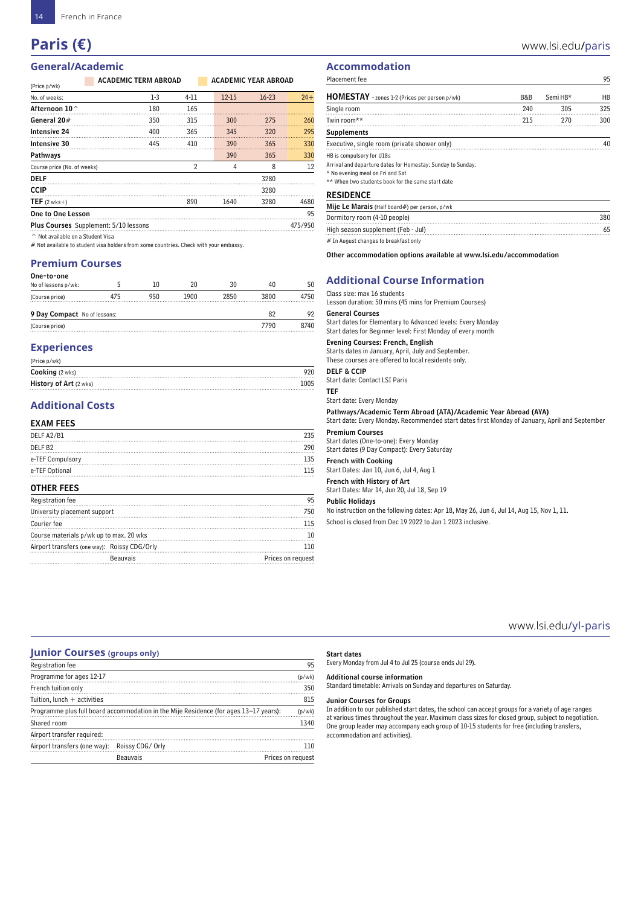### **General/Academic**

| (Price p/wk)                                 | <b>ACADEMIC TERM ABROAD</b> |          |           | <b>ACADEMIC YEAR ABROAD</b> |         |
|----------------------------------------------|-----------------------------|----------|-----------|-----------------------------|---------|
| No. of weeks:                                | $1-3$                       | $4 - 11$ | $12 - 15$ | $16-23$                     | $24+$   |
| Afternoon 10 $^{\wedge}$                     | 180                         | 165      |           |                             |         |
| General 20#                                  | 350                         | 315      | 300       | 275                         | 260     |
| Intensive 24                                 | 400                         | 365      | 345       | 320                         | 295     |
| <b>Intensive 30</b>                          | 445                         | 410      | 390       | 365                         | 330     |
| Pathways                                     |                             |          | 390       | 365                         | 330     |
| Course price (No. of weeks)                  |                             | 2        | 4         | 8                           | 12      |
| DELF                                         |                             |          |           | 3280                        |         |
| <b>CCIP</b>                                  |                             |          |           | 3280                        |         |
| TEF $(2 wks+)$                               |                             | 890      | 1640      | 3280                        | 4680    |
| One to One Lesson                            |                             |          |           |                             | 95      |
| <b>Plus Courses</b> Supplement: 5/10 lessons |                             |          |           |                             | 475/950 |

^ Not available on a Student Visa

# Not available to student visa holders from some countries. Check with your embassy.

### **Premium Courses**

| One-to-one                   |     |     |      |      |      |      |
|------------------------------|-----|-----|------|------|------|------|
| No of lessons p/wk:          |     |     | 20   | 30   | 40   | 50   |
| (Course price)               | 475 | 950 | 1900 | 2850 | 3800 | 4750 |
| 9 Day Compact No of lessons: |     |     |      |      | 82   | 92   |
| (Course price)               |     |     |      |      | 7790 | 8740 |

### **Experiences**

| (Price p/wk)                  |      |
|-------------------------------|------|
| <b>Cooking</b> (2 wks)        |      |
| <b>History of Art (2 wks)</b> | 1005 |
|                               |      |

### **Additional Costs**

### EXAM FEES

| DELF A2/B1                                   | 235               |
|----------------------------------------------|-------------------|
| DELF <sub>B2</sub>                           | 290               |
| e-TEF Compulsory                             | 135               |
| e-TEF Optional                               | 115               |
| <b>OTHER FEES</b>                            |                   |
| Registration fee                             | 95                |
| University placement support                 | 750               |
| Courier fee                                  | 115               |
| Course materials p/wk up to max. 20 wks      | 10                |
| Airport transfers (one way): Roissy CDG/Orly | 110               |
| <b>Beauvais</b>                              | Prices on request |

### **Accommodation**

| Placement fee                                                                                                                                                                                         |     |          | 95        |
|-------------------------------------------------------------------------------------------------------------------------------------------------------------------------------------------------------|-----|----------|-----------|
| HOMESTAY - zones 1-2 (Prices per person p/wk)                                                                                                                                                         | B&B | Semi HB* | <b>HB</b> |
| Single room                                                                                                                                                                                           | 240 | 305      | 325       |
| Twin room**                                                                                                                                                                                           | 215 | 270      | 300       |
| <b>Supplements</b>                                                                                                                                                                                    |     |          |           |
| Executive, single room (private shower only)                                                                                                                                                          |     |          | 40        |
| HB is compulsory for U18s<br>Arrival and departure dates for Homestay: Sunday to Sunday.<br>* No evening meal on Fri and Sat<br>** When two students book for the same start date<br><b>RESIDENCE</b> |     |          |           |
| Mije Le Marais (Half board#) per person, p/wk                                                                                                                                                         |     |          |           |
| Dormitory room (4-10 people)                                                                                                                                                                          |     |          | 380       |

High season supplement (Feb - Jul) 65 # In August changes to breakfast only

Other accommodation options available at www.lsi.edu/accommodation

### **Additional Course Information**

#### Class size: max 16 students

Lesson duration: 50 mins (45 mins for Premium Courses)

#### General Courses

Start dates for Elementary to Advanced levels: Every Monday Start dates for Beginner level: First Monday of every month

### Evening Courses: French, English

Starts dates in January, April, July and September. These courses are offered to local residents only.

#### DELF & CCIP

Start date: Contact LSI Paris

TEF Start date: Every Monday

Pathways/Academic Term Abroad (ATA)/Academic Year Abroad (AYA)

### Start date: Every Monday. Recommended start dates first Monday of January, April and September

Premium Courses

Start dates (One-to-one): Every Monday

### Start dates (9 Day Compact): Every Saturday

French with Cooking

Start Dates: Jan 10, Jun 6, Jul 4, Aug 1

French with History of Art

Start Dates: Mar 14, Jun 20, Jul 18, Sep 19

### Public Holidays

No instruction on the following dates: Apr 18, May 26, Jun 6, Jul 14, Aug 15, Nov 1, 11. School is closed from Dec 19 2022 to Jan 1 2023 inclusive.

### www.lsi.edu/yl-paris

### **Junior Courses (groups only)**

| Registration fee              |                                                                                       | 95                |
|-------------------------------|---------------------------------------------------------------------------------------|-------------------|
| Programme for ages 12-17      |                                                                                       | (p/wk)            |
| French tuition only           |                                                                                       | 350               |
| Tuition, lunch $+$ activities |                                                                                       | 815               |
|                               | Programme plus full board accommodation in the Mije Residence (for ages 13–17 years): | (p/wk)            |
| Shared room                   |                                                                                       | 1340              |
| Airport transfer required:    |                                                                                       |                   |
| Airport transfers (one way):  | Roissy CDG/ Orly                                                                      | 110               |
|                               | <b>Beauvais</b>                                                                       | Prices on request |

#### Start dates

Every Monday from Jul 4 to Jul 25 (course ends Jul 29).

Additional course information Standard timetable: Arrivals on Sunday and departures on Saturday.

Junior Courses for Groups In addition to our published start dates, the school can accept groups for a variety of age ranges

at various times throughout the year. Maximum class sizes for closed group, subject to negotiation. One group leader may accompany each group of 10-15 students for free (including transfers, accommodation and activities).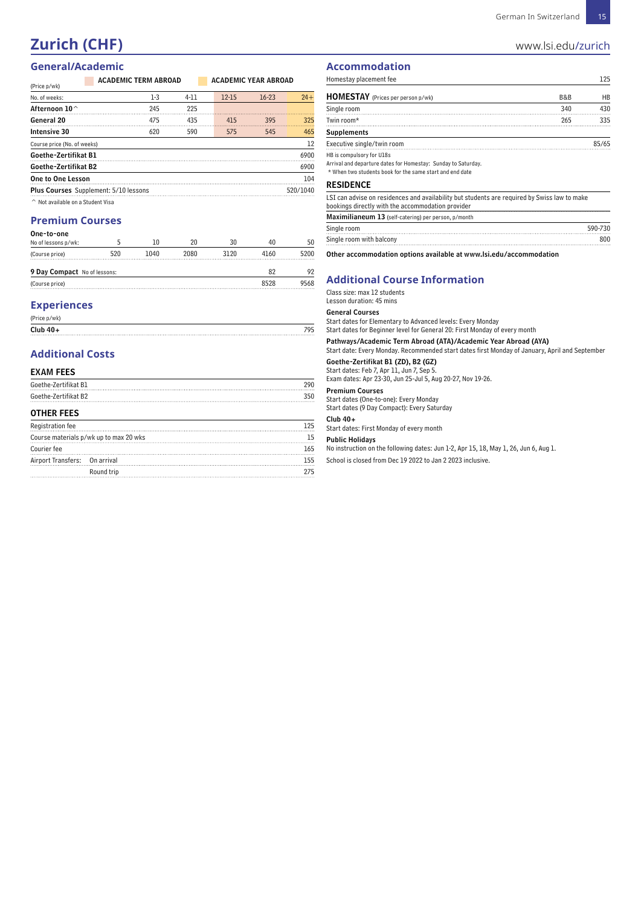# **Zurich (CHF)** www.lsi.edu/zurich

### **General/Academic**

| (Price p/wk)          | <b>ACADEMIC TERM ABROAD</b><br><b>ACADEMIC YEAR ABROAD</b> |        |           |           |       |
|-----------------------|------------------------------------------------------------|--------|-----------|-----------|-------|
| No. of weeks:         | $1-3$                                                      | $4-11$ | $12 - 15$ | $16 - 23$ | $24+$ |
| Afternoon $10^{\sim}$ | 245                                                        | 225    |           |           |       |
| General 20            | 475                                                        | 435    | 415       | 395       | 325   |
| <b>Intensive 30</b>   | 620                                                        | 590    | 575       | 545       | 465   |
|                       | Course price (No. of weeks)                                |        |           | 12        |       |
|                       | Goethe-Zertifikat B1                                       |        |           | 6900      |       |
| Goethe-Zertifikat B2  |                                                            |        |           |           | 6900  |
| One to One Lesson     |                                                            |        |           |           | 104   |
|                       | <b>Plus Courses</b> Supplement: 5/10 lessons               |        | 520/1040  |           |       |

 $\hat{ }$  Not available on a Student Visa

### **Premium Courses**

| One-to-one                   |     |      |      |      |      |      |
|------------------------------|-----|------|------|------|------|------|
| No of lessons p/wk:          |     |      | 20   |      | 40   | 50   |
| (Course price)               | 520 | 1040 | 2080 | 3120 | 4160 | 5200 |
| 9 Day Compact No of lessons: |     |      |      |      | 82   | 92   |
| (Course price)               |     |      |      |      | 8528 | 9568 |

### **Experiences**

| Club 40 |  |
|---------|--|

### **Additional Costs**

### EXAM FEES

| Goethe-Zertifikat B1          |                                        | 290 |
|-------------------------------|----------------------------------------|-----|
| Goethe-Zertifikat B2          |                                        | 350 |
| <b>OTHER FEES</b>             |                                        |     |
| Registration fee              |                                        | 125 |
|                               | Course materials p/wk up to max 20 wks | 15  |
| Courier fee                   |                                        | 165 |
| Airport Transfers: On arrival |                                        | 155 |
|                               | Round trip                             | 275 |
|                               |                                        |     |

### **Accommodation**

| Homestay placement fee                                                                                                                                 |                | 125       |
|--------------------------------------------------------------------------------------------------------------------------------------------------------|----------------|-----------|
| <b>HOMESTAY</b> (Prices per person p/wk)                                                                                                               | <b>B&amp;B</b> | <b>HB</b> |
| Single room                                                                                                                                            | 340            | 430       |
| Twin room*                                                                                                                                             | 265            | 335       |
| <b>Supplements</b>                                                                                                                                     |                |           |
| Executive single/twin room                                                                                                                             |                | 85/65     |
| HB is compulsory for U18s<br>Arrival and departure dates for Homestay: Sunday to Saturday.<br>* When two students book for the same start and end date |                |           |
| <b>RESIDENCE</b>                                                                                                                                       |                |           |

| LSI can advise on residences and availability but students are required by Swiss law to make<br>bookings directly with the accommodation provider |         |
|---------------------------------------------------------------------------------------------------------------------------------------------------|---------|
| Maximilianeum 13 (self-catering) per person, p/month                                                                                              |         |
| Single room                                                                                                                                       | 590-730 |
| Single room with balcony                                                                                                                          | 800     |
|                                                                                                                                                   |         |

Other accommodation options available at www.lsi.edu/accommodation

### **Additional Course Information**

Class size: max 12 students Lesson duration: 45 mins

General Courses Start dates for Elementary to Advanced levels: Every Monday Start dates for Beginner level for General 20: First Monday of every month

Pathways/Academic Term Abroad (ATA)/Academic Year Abroad (AYA)

Start date: Every Monday. Recommended start dates first Monday of January, April and September

#### Goethe-Zertifikat B1 (ZD), B2 (GZ) Start dates: Feb 7, Apr 11, Jun 7, Sep 5.

Exam dates: Apr 23-30, Jun 25-Jul 5, Aug 20-27, Nov 19-26.

### Premium Courses

Start dates (One-to-one): Every Monday Start dates (9 Day Compact): Every Saturday

Club 40+

Start dates: First Monday of every month

#### Public Holidays

No instruction on the following dates: Jun 1-2, Apr 15, 18, May 1, 26, Jun 6, Aug 1.

School is closed from Dec 19 2022 to Jan 2 2023 inclusive.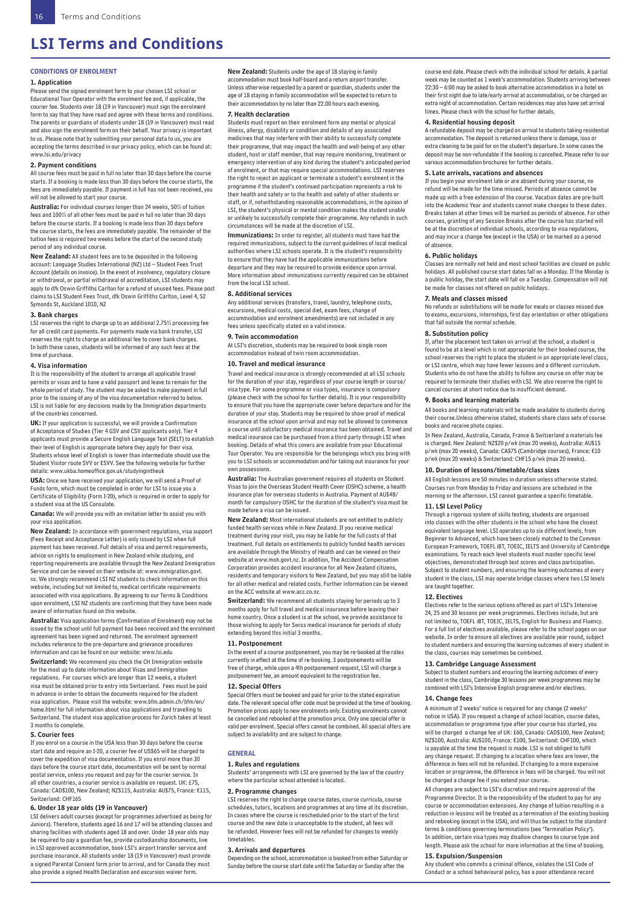# **LSI Terms and Conditions**

#### CONDITIONS OF ENROLMENT

#### 1. Application

Please send the signed enrolment form to your chosen LSI school or Educational Tour Operator with the enrolment fee and, if applicable, the courier fee. Students over 18 (19 in Vancouver) must sign the enrolment form to say that they have read and agree with these terms and conditions. The parents or guardians of students under 18 (19 in Vancouver) must read and also sign the enrolment form on their behalf. Your privacy is important to us. Please note that by submitting your personal data to us, you are accepting the terms described in our privacy policy, which can be found at: www.lsi.edu/privacy

#### 2. Payment conditions

All course fees must be paid in full no later than 30 days before the course starts. If a booking is made less than 30 days before the course starts, the fees are immediately payable. If payment in full has not been received, you will not be allowed to start your course.

**Australia:** For individual courses longer than 24 weeks, 50% of tuition<br>fees and 100% of all other fees must be paid in full no later than 30 days before the course starts. If a booking is made less than 30 days before the course starts, the fees are immediately payable. The remainder of the tuition fees is required two weeks before the start of the second study period of any individual course.

New Zealand: All student fees are to be deposited in the following account: Language Studies International (NZ) Ltd – Student Fees Trust Account (details on invoice). In the event of insolvency, regulatory closure or withdrawal, or partial withdrawal of accreditation, LSI students may apply to dfk Oswin Griffiths Carlton for a refund of unused fees. Please post claims to LSI Student Fees Trust, dfk Oswin Griffiths Carlton, Level 4, 52 Symonds St, Auckland 1010, NZ

#### 3. Bank charges

LSI reserves the right to charge up to an additional 2.75% processing fee for all credit card payments. For payments made via bank transfer, LSI reserves the right to charge an additional fee to cover bank charges. In both these cases, students will be informed of any such fees at the time of purchase.

#### 4. Visa information

It is the responsibility of the student to arrange all applicable travel permits or visas and to have a valid passport and leave to remain for the whole period of study. The student may be asked to make payment in full prior to the issuing of any of the visa documentation referred to below. LSI is not liable for any decisions made by the Immigration departments of the countries concerned.

UK: If your application is successful, we will provide a Confirmation of Acceptance of Studies (Tier 4 GSV and CSV applicants only). Tier 4 applicants must provide a Secure English Language Test (SELT) to establish their level of English is appropriate before they apply for their visa. Students whose level of English is lower than intermediate should use the Student Visitor route SVV or ESVV. See the following website for further details: www.ukba.homeoffice.gov.uk/studyingintheuk

USA: Once we have received your application, we will send a Proof of Funds form, which must be completed in order for LSI to issue you a Certificate of Eligibility (Form I-20), which is required in order to apply for a student visa at the US Consulate.

Canada: We will provide you with an invitation letter to assist you with your visa application.

New Zealand: In accordance with government regulations, visa support (Fees Receipt and Acceptance Letter) is only issued by LSI when full payment has been received. Full details of visa and permit requirements, advice on rights to employment in New Zealand while studying, and reporting requirements are available through the New Zealand Immigration Service and can be viewed on their website at: www.immigration.govt. nz. We strongly recommend LSI NZ students to check information on this website, including but not limited to, medical certificate requirements associated with visa applications. By agreeing to our Terms & Conditions upon enrolment, LSI NZ students are confirming that they have been made aware of information found on this website.

Australia: Visa application forms (Confirmation of Enrolment) may not be issued by the school until full payment has been received and the enrolment agreement has been signed and returned. The enrolment agreement includes reference to the pre-departure and grievance procedures information and can be found on our website: www.lsi.edu

Switzerland: We recommend you check the CH Immigration website for the most up to date information about Visas and Immigration regulations. For courses which are longer than 12 weeks, a student visa must be obtained prior to entry into Switzerland. Fees must be paid in advance in order to obtain the documents required for the student visa application. Please visit the website: www.bfm.admin.ch/bfm/en/ home.html for full information about visa applications and travelling to Switzerland. The student visa application process for Zurich takes at least 3 months to complete.

#### 5. Courier fees

If you enrol on a course in the USA less than 30 days before the course start date and require an I-20, a courier fee of US\$65 will be charged to cover the expedition of visa documentation. If you enrol more than 30 days before the course start date, documentation will be sent by normal postal service, unless you request and pay for the courier service. In all other countries, a courier service is available on request. UK: £75, Canada: CAD\$100, New Zealand; NZ\$115, Australia: AU\$75, France: €115, Switzerland: CHF165

#### 6. Under 18 year olds (19 in Vancouver)

LSI delivers adult courses (except for programmes advertised as being for Juniors). Therefore, students aged 16 and 17 will be attending classes and sharing facilities with students aged 18 and over. Under 18 year olds may be required to pay a guardian fee, provide custodianship documents, live in LSI-approved accommodation, book LSI's airport transfer service and purchase insurance. All students under 18 (19 in Vancouver) must provide a signed Parental Consent form prior to arrival, and for Canada they must also provide a signed Health Declaration and excursion waiver form.

New Zealand: Students under the age of 18 staying in family accommodation must book half-board and a return airport transfer. Unless otherwise requested by a parent or guardian, students under the age of 18 staying in family accommodation will be expected to return to their accommodation by no later than 22.00 hours each evening.

#### 7. Health declaration

Students must report on their enrolment form any mental or physical illness, allergy, disability or condition and details of any associated medicines that may interfere with their ability to successfully complete their programme, that may impact the health and well-being of any other student, host or staff member, that may require monitoring, treatment or emergency intervention of any kind during the student's anticipated period of enrolment, or that may require special accommodations. LSI reserves the right to reject an applicant or terminate a student's enrolment in the programme if the student's continued participation represents a risk to their health and safety or to the health and safety of other students or staff, or if, notwithstanding reasonable accommodations, in the opinion of LSI, the student's physical or mental condition makes the student unable or unlikely to successfully complete their programme. Any refunds in such circumstances will be made at the discretion of LSI.

Immunizations: In order to register, all students must have had the required immunizations, subject to the current guidelines of local medical authorities where LSI schools operate. It is the student's responsibility to ensure that they have had the applicable immunizations before departure and they may be required to provide evidence upon arrival. More information about immunizations currently required can be obtained from the local LSI school.

#### 8. Additional services

Any additional services (transfers, travel, laundry, telephone costs, excursions, medical costs, special diet, exam fees, change of accommodation and enrolment amendments) are not included in any fees unless specifically stated on a valid invoice.

#### 9. Twin accommodation

At LSI's discretion, students may be required to book single room accommodation instead of twin room accommodation.

#### 10. Travel and medical insurance

Travel and medical insurance is strongly recommended at all LSI schools for the duration of your stay, regardless of your course length or course/ visa type. For some programme or visa types, insurance is compulsory (please check with the school for further details). It is your responsibility to ensure that you have the appropriate cover before departure and for the duration of your stay. Students may be required to show proof of medical insurance at the school upon arrival and may not be allowed to commence a course until satisfactory medical insurance has been obtained. Travel and medical insurance can be purchased from a third party through LSI when booking. Details of what this covers are available from your Educational Tour Operator. You are responsible for the belongings which you bring with you to LSI schools or accommodation and for taking out insurance for your own possessions.

Australia: The Australian government requires all students on Student Visas to join the Overseas Student Health Cover (OSHC) scheme, a health insurance plan for overseas students in Australia. Payment of AU\$48/ month for compulsory OSHC for the duration of the student's visa must be made before a visa can be issued.

New Zealand: Most international students are not entitled to publicly funded health services while in New Zealand. If you receive medical treatment during your visit, you may be liable for the full costs of that treatment. Full details on entitlements to publicly funded health services are available through the Ministry of Health and can be viewed on their website at www.moh.govt.nz. In addition, The Accident Compensation Corporation provides accident insurance for all New Zealand citizens, residents and temporary visitors to New Zealand, but you may still be liable for all other medical and related costs. Further information can be viewed on the ACC website at www.acc.co.nz.

Switzerland: We recommend all students staying for periods up to 3 months apply for full travel and medical insurance before leaving their home country. Once a student is at the school, we provide assistance to those wishing to apply for Swiss medical insurance for periods of study extending beyond this initial 3 months.

#### 11. Postponement

In the event of a course postponement, you may be re-booked at the rates currently in effect at the time of re-booking. 3 postponements will be free of charge, while upon a 4th postponement request, LSI will charge a postponement fee, an amount equivalent to the registration fee.

#### 12. Special Offers

Special Offers must be booked and paid for prior to the stated expiration date. The relevant special offer code must be provided at the time of booking. Promotion prices apply to new enrolments only. Existing enrolments cannot be cancelled and rebooked at the promotion price. Only one special offer is valid per enrolment. Special offers cannot be combined. All special offers are subject to availability and are subject to change.

#### GENERAL

#### 1. Rules and regulations

Students' arrangements with LSI are governed by the law of the country where the particular school attended is located.

#### 2. Programme changes

LSI reserves the right to change course dates, course curricula, course schedules, tutors, locations and programmes at any time at its discretion. In cases where the course is rescheduled prior to the start of the first course and the new date is unacceptable to the student, all fees will be refunded. However fees will not be refunded for changes to weekly timetables.

#### 3. Arrivals and departures

Depending on the school, accommodation is booked from either Saturday or Superium, an integrative, the course start date until the Saturday or Sunday after the

course end date. Please check with the individual school for details. A partial week may be counted as 1 week's accommodation. Students arriving between 22:30 – 6:00 may be asked to book alternative accommodation in a hotel on their first night due to late/early arrival at accommodation, or be charged an extra night of accommodation. Certain residences may also have set arrival times. Please check with the school for further details.

#### 4. Residential housing deposit

A refundable deposit may be charged on arrival to students taking residential accommodation. The deposit is returned unless there is damage, loss or extra cleaning to be paid for on the student's departure. In some cases the deposit may be non-refundable if the booking is cancelled. Please refer to our various accommodation brochures for further details.

#### 5. Late arrivals, vacations and absences

If you begin your enrolment late or are absent during your course, no refund will be made for the time missed. Periods of absence cannot be made up with a free extension of the course. Vacation dates are pre-built into the Academic Year and students cannot make changes to these dates. Breaks taken at other times will be marked as periods of absence. For other courses, granting of any Session Breaks after the course has started will be at the discretion of individual schools, according to visa regulations, and may incur a change fee (except in the USA) or be marked as a period of absence.

#### 6. Public holidays

Classes are normally not held and most school facilities are closed on public holidays. All published course start dates fall on a Monday. If the Monday is a public holiday, the start date will fall on a Tuesday. Compensation will not be made for classes not offered on public holidays.

#### 7. Meals and classes missed

No refunds or substitutions will be made for meals or classes missed due to exams, excursions, internships, first day orientation or other obligations that fall outside the normal schedule.

#### 8. Substitution policy

If, after the placement test taken on arrival at the school, a student is found to be at a level which is not appropriate for their booked course, the school reserves the right to place the student in an appropriate level class, or LSI centre, which may have fewer lessons and a different curriculum. Students who do not have the ability to follow any course on offer may be required to terminate their studies with LSI. We also reserve the right to cancel courses at short notice due to insufficient demand.

#### 9. Books and learning materials

All books and learning materials will be made available to students during their course.Unless otherwise stated, students share class sets of course books and receive photo copies.

In New Zealand, Australia, Canada, France & Switzerland a materials fee is charged. New Zealand: NZ\$20 p/wk (max 20 weeks), Australia: AU\$15 p/wk (max 20 weeks), Canada: CA\$75 (Cambridge courses), France: €10 p/wk (max 20 weeks) & Switzerland: CHF15 p/wk (max 20 weeks).

#### 10. Duration of lessons/timetable/class sizes

All English lessons are 50 minutes in duration unless otherwise stated. Courses run from Monday to Friday and lessons are scheduled in the morning or the afternoon. LSI cannot guarantee a specific timetable.

#### 11. LSI Level Policy

Through a rigorous system of skills testing, students are organised into classes with the other students in the school who have the closest equivalent language level. LSI operates up to six different levels, from Beginner to Advanced, which have been closely matched to the Common European Framework, TOEFL iBT, TOEIC, IELTS and University of Cambridge examinations. To reach each level students must master specific level objectives, demonstrated through test scores and class participation. Subject to student numbers, and ensuring the learning outcomes of every student in the class, LSI may operate bridge classes where two LSI levels are taught together

#### 12. Electives

Electives refer to the various options offered as part of LSI's Intensive 24, 25 and 30 lessons per week programmes. Electives include, but are not limited to, TOEFL iBT, TOEIC, IELTS, English for Business and Fluency. For a full list of electives available, please refer to the school pages on our website. In order to ensure all electives are available year round, subject to student numbers and ensuring the learning outcomes of every student in the class, courses may sometimes be combined.

#### 13. Cambridge Language Assessment

Subject to student numbers and ensuring the learning outcomes of every student in the class, Cambridge 30 lessons per week programmes may be combined with LSI's Intensive English programme and/or electives.

#### 14. Change fees

A minimum of 2 weeks' notice is required for any change (2 weeks' notice in USA). If you request a change of school location, course dates, accommodation or programme type after your course has started, you will be charged a change fee of UK: £60, Canada: CAD\$100, New Zealand; NZ\$100, Australia: AU\$100, France: €100, Switzerland: CHF100, which is payable at the time the request is made. LSI is not obliged to fulfil any change request. If changing to a location where fees are lower, the difference in fees will not be refunded. If changing to a more expensive location or programme, the difference in fees will be charged. You will not be charged a change fee if you extend your course.

All changes are subject to LSI's discretion and require approval of the Programme Director. It is the responsibility of the student to pay for any course or accommodation extensions. Any change of tuition resulting in a reduction in lessons will be treated as a termination of the existing booking and rebooking (except in the USA), and will thus be subject to the standard terms & conditions governing terminations (see 'Termination Policy'). In addition, certain visa types may disallow changes to course type and length. Please ask the school for more information at the time of booking.

#### 15. Expulsion/Suspension

Any student who commits a criminal offence, violates the LSI Code of Conduct or a school behavioural policy, has a poor attendance record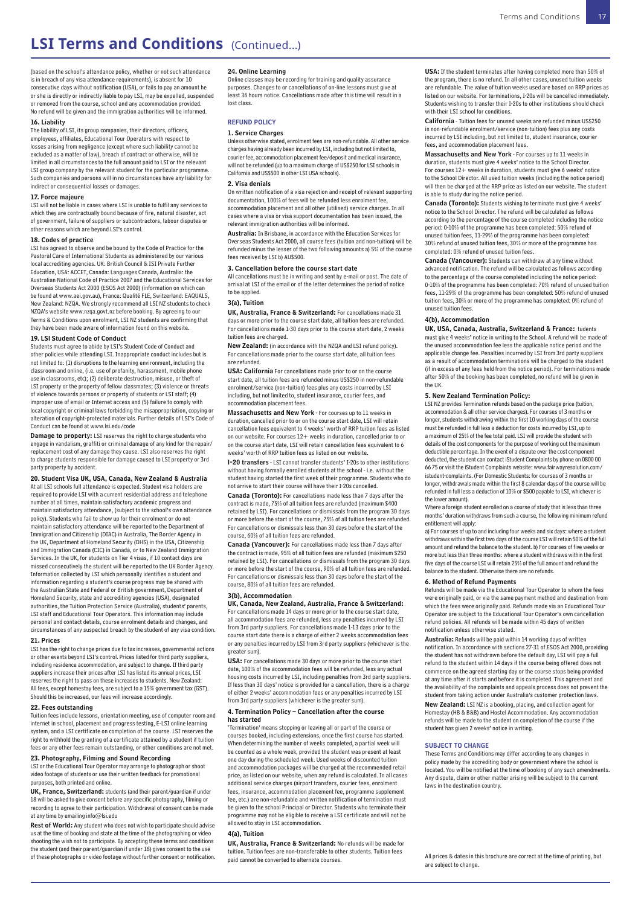# **LSI Terms and Conditions** (Continued...)

(based on the school's attendance policy, whether or not such attendance is in breach of any visa attendance requirements), is absent for 10 consecutive days without notification (USA), or fails to pay an amount he or she is directly or indirectly liable to pay LSI, may be expelled, suspended or removed from the course, school and any accommodation provided. No refund will be given and the immigration authorities will be informed.

#### 16. Liability

The liability of LSI, its group companies, their directors, officers, employees, affiliates, Educational Tour Operators with respect to losses arising from negligence (except where such liability cannot be excluded as a matter of law), breach of contract or otherwise, will be limited in all circumstances to the full amount paid to LSI or the relevant LSI group company by the relevant student for the particular programme. Such companies and persons will in no circumstances have any liability for indirect or consequential losses or damages.

#### 17. Force majeure

LSI will not be liable in cases where LSI is unable to fulfil any services to which they are contractually bound because of fire, natural disaster, act of government, failure of suppliers or subcontractors, labour disputes or other reasons which are beyond LSI's control.

#### 18. Codes of practice

LSI has agreed to observe and be bound by the Code of Practice for the Pastoral Care of International Students as administered by our various local accrediting agencies. UK: British Council & ISI Private Further Education, USA: ACCET, Canada: Languages Canada, Australia: the Australian National Code of Practice 2007 and the Educational Services for Overseas Students Act 2000 (ESOS Act 2000) (information on which can be found at www.aei.gov.au), France: Qualité FLE, Switzerland: EAQUALS, New Zealand: NZQA. We strongly recommend all LSI NZ students to check NZQA's website www.nzqa.govt.nz before booking. By agreeing to our Terms & Conditions upon enrolment, LSI NZ students are confirming that they have been made aware of information found on this website.

#### 19. LSI Student Code of Conduct

Students must agree to abide by LSI's Student Code of Conduct and other policies while attending LSI. Inappropriate conduct includes but is not limited to: (1) disruptions to the learning environment, including the classroom and online, (i.e. use of profanity, harassment, mobile phone use in classrooms, etc); (2) deliberate destruction, misuse, or theft of LSI property or the property of fellow classmates; (3) violence or threats of violence towards persons or property of students or LSI staff; (4) improper use of email or Internet access and (5) failure to comply with local copyright or criminal laws forbidding the misappropriation, copying or alteration of copyright-protected materials. Further details of LSI's Code of Conduct can be found at www.lsi.edu/code

Damage to property: LSI reserves the right to charge students who engage in vandalism, graffiti or criminal damage of any kind for the repair/ replacement cost of any damage they cause. LSI also reserves the right to charge students responsible for damage caused to LSI property or 3rd party property by accident.

#### 20. Student Visa UK, USA, Canada, New Zealand & Australia

At all LSI schools full attendance is expected. Student visa holders are required to provide LSI with a current residential address and telephone number at all times, maintain satisfactory academic progress and maintain satisfactory attendance, (subject to the school's own attendance policy). Students who fail to show up for their enrolment or do not maintain satisfactory attendance will be reported to the Department of Immigration and Citizenship (DIAC) in Australia, The Border Agency in the UK, Department of Homeland Security (DHS) in the USA, Citizenship and Immigration Canada (CIC) in Canada, or to New Zealand Immigration Services. In the UK, for students on Tier 4 visas, if 10 contact days are missed consecutively the student will be reported to the UK Border Agency. Information collected by LSI which personally identifies a student and information regarding a student's course progress may be shared with the Australian State and Federal or British government, Department of Homeland Security, state and accrediting agencies (USA), designated authorities, the Tuition Protection Service (Australia), students' parents, LSI staff and Educational Tour Operators. This information may include personal and contact details, course enrolment details and changes, and circumstances of any suspected breach by the student of any visa condition.

#### 21. Prices

LSI has the right to change prices due to tax increases, governmental actions or other events beyond LSI's control. Prices listed for third party suppliers, including residence accommodation, are subject to change. If third party suppliers increase their prices after LSI has listed its annual prices, LSI reserves the right to pass on these increases to students. New Zealand: All fees, except homestay fees, are subject to a 15% government tax (GST). Should this be increased, our fees will increase accordingly.

#### 22. Fees outstanding

Tuition fees include lessons, orientation meeting, use of computer room and internet in school, placement and progress testing, E-LSI online learning system, and a LSI certificate on completion of the course. LSI reserves the right to withhold the granting of a certificate attained by a student if tuition fees or any other fees remain outstanding, or other conditions are not met.

#### 23. Photography, Filming and Sound Recording

LSI or the Educational Tour Operator may arrange to photograph or shoot video footage of students or use their written feedback for promotional purposes, both printed and online.

UK, France, Switzerland: students (and their parent/guardian if under 18 will be asked to give consent before any specific photography, filming or recording to agree to their participation. Withdrawal of consent can be made at any time by emailing info@lsi.edu

Rest of World: Any student who does not wish to participate should advise us at the time of booking and state at the time of the photographing or video shooting the wish not to participate. By accepting these terms and conditions the student (and their parent/guardian if under 18) gives consent to the use of these photographs or video footage without further consent or notification.

#### 24. Online Learning

Online classes may be recording for training and quality assurance purposes. Changes to or cancellations of on-line lessons must give at least 36 hours notice. Cancellations made after this time will result in a lost class.

#### REFUND POLICY

#### 1. Service Charges

Unless otherwise stated, enrolment fees are non-refundable. All other service charges having already been incurred by LSI, including but not limited to, courier fee, accommodation placement fee/deposit and medical insurance, will not be refunded (up to a maximum charge of US\$250 for LSI schools in California and US\$500 in other LSI USA schools).

#### 2. Visa denials

On written notification of a visa rejection and receipt of relevant supporting documentation, 100% of fees will be refunded less enrolment fee, accommodation placement and all other (utilised) service charges. In all cases where a visa or visa support documentation has been issued, the relevant immigration authorities will be informed.

Australia: In Brisbane, in accordance with the Education Services for Overseas Students Act 2000, all course fees (tuition and non-tuition) will be refunded minus the lesser of the two following amounts a) 5% of the course fees received by LSI b) AU\$500.

#### 3. Cancellation before the course start date

All cancellations must be in writing and sent by e-mail or post. The date of arrival at LSI of the email or of the letter determines the period of notice to be applied.

#### 3(a), Tuition

UK, Australia, France & Switzerland: For cancellations made 31 days or more prior to the course start date, all tuition fees are refunded. For cancellations made 1-30 days prior to the course start date, 2 weeks tuition fees are charged.

New Zealand: (in accordance with the NZQA and LSI refund policy). For cancellations made prior to the course start date, all tuition fees are refunded.

USA: California For cancellations made prior to or on the course start date, all tuition fees are refunded minus US\$250 in non-refundable enrolment/service (non-tuition) fees plus any costs incurred by LSI including, but not limited to, student insurance, courier fees, and accommodation placement fees.

Massachusetts and New York - For courses up to 11 weeks in duration, cancelled prior to or on the course start date, LSI will retain cancellation fees equivalent to 4 weeks' worth of RRP tuition fees as listed on our website. For courses 12+ weeks in duration, cancelled prior to or on the course start date, LSI will retain cancellation fees equivalent to 6 weeks' worth of RRP tuition fees as listed on our website.

I-20 transfers - LSI cannot transfer students' I-20s to other institutions without having formally enrolled students at the school - i.e. without the student having started the first week of their programme. Students who do not arrive to start their course will have their I-20s cancelled.

Canada (Toronto): For cancellations made less than 7 days after the contract is made, 75% of all tuition fees are refunded (maximum \$400 retained by LSI). For cancellations or dismissals from the program 30 days or more before the start of the course, 75% of all tuition fees are refunded. For cancellations or dismissals less than 30 days before the start of the course, 60% of all tuition fees are refunded.

Canada (Vancouver): For cancellations made less than 7 days after the contract is made, 95% of all tuition fees are refunded (maximum \$250 retained by LSI). For cancellations or dismissals from the program 30 days or more before the start of the course, 90% of all tuition fees are refunded. For cancellations or dismissals less than 30 days before the start of the course, 80% of all tuition fees are refunded.

#### 3(b), Accommodation

UK, Canada, New Zealand, Australia, France & Switzerland: For cancellations made 14 days or more prior to the course start date, all accommodation fees are refunded, less any penalties incurred by LSI from 3rd party suppliers. For cancellations made 1-13 days prior to the course start date there is a charge of either 2 weeks accommodation fees or any penalties incurred by LSI from 3rd party suppliers (whichever is the greater sum).

USA: For cancellations made 30 days or more prior to the course start date, 100% of the accommodation fees will be refunded, less any actual housing costs incurred by LSI, including penalties from 3rd party suppliers. If less than 30 days' notice is provided for a cancellation, there is a charge of either 2 weeks' accommodation fees or any penalties incurred by LSI from 3rd party suppliers (whichever is the greater sum).

#### 4. Termination Policy – Cancellation after the course has started

'Termination' means stopping or leaving all or part of the course or courses booked, including extensions, once the first course has started. When determining the number of weeks completed, a partial week will be counted as a whole week, provided the student was present at least one day during the scheduled week. Used weeks of discounted tuition and accommodation packages will be charged at the recommended retail price, as listed on our website, when any refund is calculated. In all cases additional service charges (airport transfers, courier fees, enrolment fees, insurance, accommodation placement fee, programme supplement fee, etc.) are non-refundable and written notification of termination must be given to the school Principal or Director. Students who terminate their programme may not be eligible to receive a LSI certificate and will not be allowed to stay in LSI accommodation.

#### 4(a), Tuition

UK, Australia, France & Switzerland: No refunds will be made for tuition. Tuition fees are non-transferable to other students. Tuition fees

USA: If the student terminates after having completed more than 50% of the program, there is no refund. In all other cases, unused tuition weeks are refundable. The value of tuition weeks used are based on RRP prices as listed on our website. For terminations, I-20s will be cancelled immediately. Students wishing to transfer their I-20s to other institutions should check with their LSI school for conditions.

California - Tuition fees for unused weeks are refunded minus US\$250 in non-refundable enrolment/service (non-tuition) fees plus any costs incurred by LSI including, but not limited to, student insurance, courier fees, and accommodation placement fees.

Massachusetts and New York - For courses up to 11 weeks in duration, students must give 4 weeks' notice to the School Director. For courses 12+ weeks in duration, students must give 6 weeks' notice to the School Director. All used tuition weeks (including the notice period) will then be charged at the RRP price as listed on our website. The student is able to study during the notice period.

Canada (Toronto): Students wishing to terminate must give 4 weeks) notice to the School Director. The refund will be calculated as follows according to the percentage of the course completed including the notice period: 0-10% of the programme has been completed: 50% refund of unused tuition fees, 11-29% of the programme has been completed: 30% refund of unused tuition fees, 30% or more of the programme has completed: 0% refund of unused tuition fees.

Canada (Vancouver): Students can withdraw at any time without advanced notification. The refund will be calculated as follows according to the percentage of the course completed including the notice period: 0-10% of the programme has been completed: 70% refund of unused tuition fees, 11-29% of the programme has been completed: 50% refund of unused tuition fees, 30% or more of the programme has completed: 0% refund of unused tuition fees.

#### 4(b), Accommodation

UK, USA, Canada, Australia, Switzerland & France: tudents must give 4 weeks' notice in writing to the School. A refund will be made of the unused accommodation fee less the applicable notice period and the applicable change fee. Penalties incurred by LSI from 3rd party suppliers as a result of accommodation terminations will be charged to the student (if in excess of any fees held from the notice period). For terminations made after 50% of the booking has been completed, no refund will be given in the UK.

#### 5. New Zealand Termination Policy:

LSI NZ provides Termination refunds based on the package price (tuition, accommodation & all other service charges). For courses of 3 months or longer, students withdrawing within the first 10 working days of the course must be refunded in full less a deduction for costs incurred by LSI, up to a maximum of 25% of the fee total paid. LSI will provide the student with details of the cost components for the purpose of working out the maximum deductible percentage. In the event of a dispute over the cost component deducted, the student can contact iStudent Complaints by phone on 0800 00 66 75 or visit the iStudent Complaints website: www.fairwayresolution.com/ istudent-complaints. (For Domestic Students: for courses of 3 months or longer, withdrawals made within the first 8 calendar days of the course will be refunded in full less a deduction of 10% or \$500 payable to LSI, whichever is the lower amount).

Where a foreign student enrolled on a course of study that is less than three months' duration withdraws from such a course, the following minimum refund entitlement will apply:

a) For courses of up to and including four weeks and six days: where a student withdraws within the first two days of the course LSI will retain 50% of the full amount and refund the balance to the student. b) For courses of five weeks or more but less than three months: where a student withdraws within the first five days of the course LSI will retain 25% of the full amount and refund the balance to the student. Otherwise there are no refunds.

#### 6. Method of Refund Payments

Refunds will be made via the Educational Tour Operator to whom the fees were originally paid, or via the same payment method and destination from which the fees were originally paid. Refunds made via an Educational Tour Operator are subject to the Educational Tour Operator's own cancellation refund policies. All refunds will be made within 45 days of written notification unless otherwise stated.

Australia: Refunds will be paid within 14 working days of written notification. In accordance with sections 27-31 of ESOS Act 2000, providing the student has not withdrawn before the default day, LSI will pay a full refund to the student within 14 days if the course being offered does not commence on the agreed starting day or the course stops being provided at any time after it starts and before it is completed. This agreement and the availability of the complaints and appeals process does not prevent the student from taking action under Australia's customer protection laws.

New Zealand: LSI NZ is a booking, placing, and collection agent for Homestay (HB & B&B) and Hostel Accommodation. Any accommodation refunds will be made to the student on completion of the course if the student has given 2 weeks' notice in writing.

#### SUBJECT TO CHANGE

These Terms and Conditions may differ according to any changes in policy made by the accrediting body or government where the school is located. You will be notified at the time of booking of any such amendments. Any dispute, claim or other matter arising will be subject to the current laws in the destination country.

All prices & dates in this brochure are correct at the time of printing, but are subject to change.